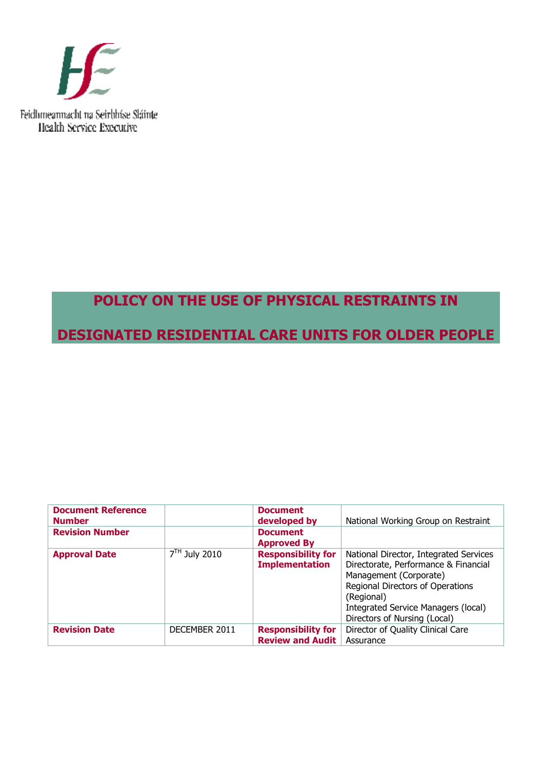

# **POLICY ON THE USE OF PHYSICAL RESTRAINTS IN DESIGNATED RESIDENTIAL CARE UNITS FOR OLDER PEOPLE**

| <b>Document Reference</b><br><b>Number</b> |                 | <b>Document</b><br>developed by                      | National Working Group on Restraint                                                                                                                                                                                               |
|--------------------------------------------|-----------------|------------------------------------------------------|-----------------------------------------------------------------------------------------------------------------------------------------------------------------------------------------------------------------------------------|
| <b>Revision Number</b>                     |                 | <b>Document</b><br><b>Approved By</b>                |                                                                                                                                                                                                                                   |
| <b>Approval Date</b>                       | $7TH$ July 2010 | <b>Responsibility for</b><br><b>Implementation</b>   | National Director, Integrated Services<br>Directorate, Performance & Financial<br>Management (Corporate)<br>Regional Directors of Operations<br>(Regional)<br>Integrated Service Managers (local)<br>Directors of Nursing (Local) |
| <b>Revision Date</b>                       | DECEMBER 2011   | <b>Responsibility for</b><br><b>Review and Audit</b> | Director of Quality Clinical Care<br>Assurance                                                                                                                                                                                    |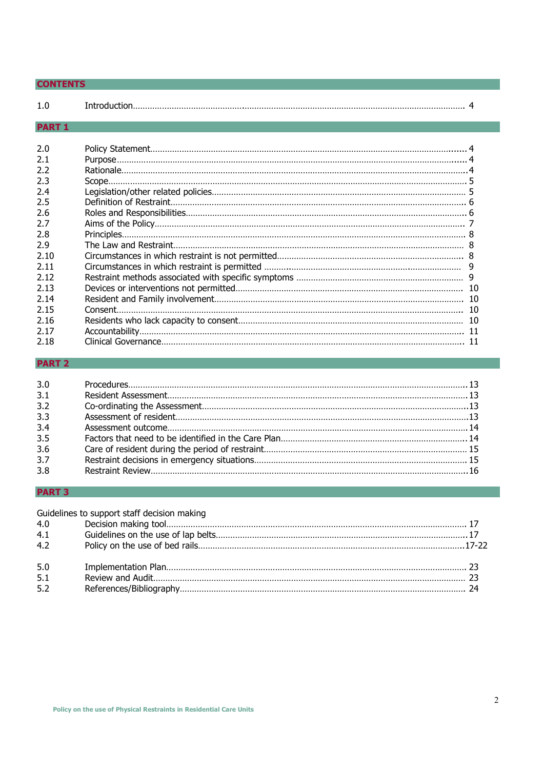| <b>CONTENTS</b>                                                                                                                            |  |
|--------------------------------------------------------------------------------------------------------------------------------------------|--|
| 1.0                                                                                                                                        |  |
| <b>PART 1</b>                                                                                                                              |  |
| 2.0<br>2.1<br>2.2<br>2.3<br>2.4<br>2.5<br>2.6<br>2.7<br>2.8<br>2.9<br>2.10<br>2.11<br>2.12<br>2.13<br>2.14<br>2.15<br>2.16<br>2.17<br>2.18 |  |
|                                                                                                                                            |  |

# **PART 2**

| 3.0 |  |
|-----|--|
| 3.1 |  |
| 3.2 |  |
| 3.3 |  |
| 3.4 |  |
| 3.5 |  |
| 3.6 |  |
| 3.7 |  |
| 3.8 |  |

# **PART 3**

|     | Guidelines to support staff decision making |  |
|-----|---------------------------------------------|--|
| 4.0 |                                             |  |
| 4.1 |                                             |  |
| 4.2 |                                             |  |
| 5.0 |                                             |  |
| 5.1 |                                             |  |
| 5.2 |                                             |  |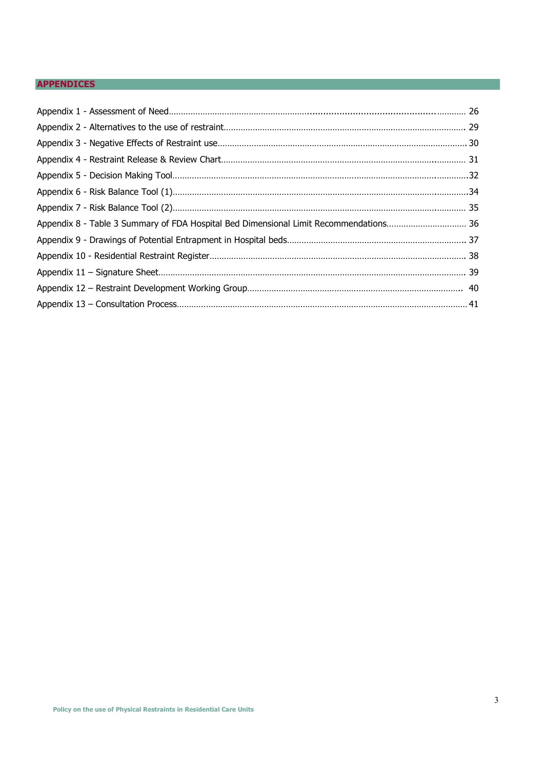# **APPENDICES**

| Appendix 8 - Table 3 Summary of FDA Hospital Bed Dimensional Limit Recommendations 36 |  |
|---------------------------------------------------------------------------------------|--|
|                                                                                       |  |
|                                                                                       |  |
|                                                                                       |  |
|                                                                                       |  |
|                                                                                       |  |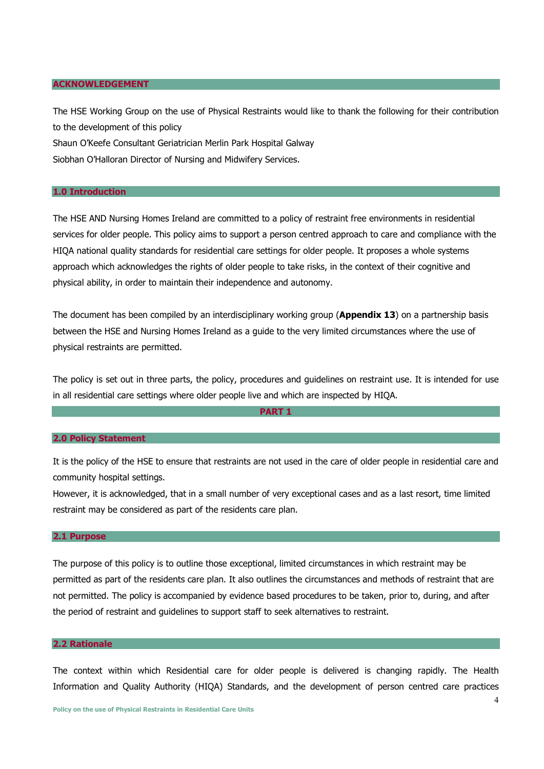#### **ACKNOWLEDGEMENT**

The HSE Working Group on the use of Physical Restraints would like to thank the following for their contribution to the development of this policy Shaun O'Keefe Consultant Geriatrician Merlin Park Hospital Galway Siobhan O'Halloran Director of Nursing and Midwifery Services.

#### **1.0 Introduction**

The HSE AND Nursing Homes Ireland are committed to a policy of restraint free environments in residential services for older people. This policy aims to support a person centred approach to care and compliance with the HIQA national quality standards for residential care settings for older people. It proposes a whole systems approach which acknowledges the rights of older people to take risks, in the context of their cognitive and physical ability, in order to maintain their independence and autonomy.

The document has been compiled by an interdisciplinary working group (**Appendix 13**) on a partnership basis between the HSE and Nursing Homes Ireland as a guide to the very limited circumstances where the use of physical restraints are permitted.

The policy is set out in three parts, the policy, procedures and guidelines on restraint use. It is intended for use in all residential care settings where older people live and which are inspected by HIQA.

#### **PART 1**

#### **2.0 Policy Statement**

It is the policy of the HSE to ensure that restraints are not used in the care of older people in residential care and community hospital settings.

However, it is acknowledged, that in a small number of very exceptional cases and as a last resort, time limited restraint may be considered as part of the residents care plan.

### **2.1 Purpose**

The purpose of this policy is to outline those exceptional, limited circumstances in which restraint may be permitted as part of the residents care plan. It also outlines the circumstances and methods of restraint that are not permitted. The policy is accompanied by evidence based procedures to be taken, prior to, during, and after the period of restraint and guidelines to support staff to seek alternatives to restraint.

#### **2.2 Rationale**

The context within which Residential care for older people is delivered is changing rapidly. The Health Information and Quality Authority (HIQA) Standards, and the development of person centred care practices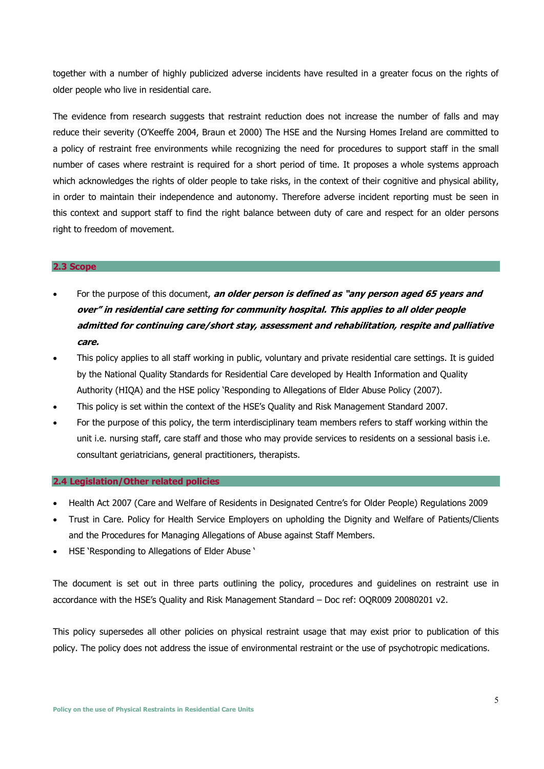together with a number of highly publicized adverse incidents have resulted in a greater focus on the rights of older people who live in residential care.

The evidence from research suggests that restraint reduction does not increase the number of falls and may reduce their severity (O'Keeffe 2004, Braun et 2000) The HSE and the Nursing Homes Ireland are committed to a policy of restraint free environments while recognizing the need for procedures to support staff in the small number of cases where restraint is required for a short period of time. It proposes a whole systems approach which acknowledges the rights of older people to take risks, in the context of their cognitive and physical ability, in order to maintain their independence and autonomy. Therefore adverse incident reporting must be seen in this context and support staff to find the right balance between duty of care and respect for an older persons right to freedom of movement.

#### **2.3 Scope**

- For the purpose of this document, **an older person is defined as "any person aged 65 years and over" in residential care setting for community hospital. This applies to all older people admitted for continuing care/short stay, assessment and rehabilitation, respite and palliative care.**
- This policy applies to all staff working in public, voluntary and private residential care settings. It is guided by the National Quality Standards for Residential Care developed by Health Information and Quality Authority (HIQA) and the HSE policy 'Responding to Allegations of Elder Abuse Policy (2007).
- This policy is set within the context of the HSE's Quality and Risk Management Standard 2007.
- For the purpose of this policy, the term interdisciplinary team members refers to staff working within the unit i.e. nursing staff, care staff and those who may provide services to residents on a sessional basis i.e. consultant geriatricians, general practitioners, therapists.

#### **2.4 Legislation/Other related policies**

- Health Act 2007 (Care and Welfare of Residents in Designated Centre's for Older People) Regulations 2009
- Trust in Care. Policy for Health Service Employers on upholding the Dignity and Welfare of Patients/Clients and the Procedures for Managing Allegations of Abuse against Staff Members.
- HSE 'Responding to Allegations of Elder Abuse '

The document is set out in three parts outlining the policy, procedures and guidelines on restraint use in accordance with the HSE's Quality and Risk Management Standard – Doc ref: OQR009 20080201 v2.

This policy supersedes all other policies on physical restraint usage that may exist prior to publication of this policy. The policy does not address the issue of environmental restraint or the use of psychotropic medications.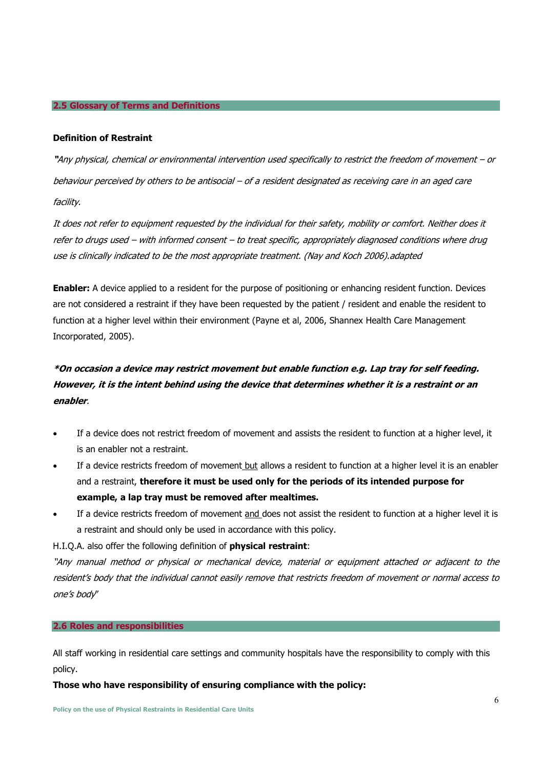#### **2.5 Glossary of Terms and Definitions**

#### **Definition of Restraint**

**"**Any physical, chemical or environmental intervention used specifically to restrict the freedom of movement – or behaviour perceived by others to be antisocial – of a resident designated as receiving care in an aged care facility.

It does not refer to equipment requested by the individual for their safety, mobility or comfort. Neither does it refer to drugs used – with informed consent – to treat specific, appropriately diagnosed conditions where drug use is clinically indicated to be the most appropriate treatment. (Nay and Koch 2006).adapted

**Enabler:** A device applied to a resident for the purpose of positioning or enhancing resident function. Devices are not considered a restraint if they have been requested by the patient / resident and enable the resident to function at a higher level within their environment (Payne et al, 2006, Shannex Health Care Management Incorporated, 2005).

# **\*On occasion a device may restrict movement but enable function e.g. Lap tray for self feeding. However, it is the intent behind using the device that determines whether it is a restraint or an enabler**.

- If a device does not restrict freedom of movement and assists the resident to function at a higher level, it is an enabler not a restraint.
- If a device restricts freedom of movement but allows a resident to function at a higher level it is an enabler and a restraint, **therefore it must be used only for the periods of its intended purpose for example, a lap tray must be removed after mealtimes.**
- If a device restricts freedom of movement and does not assist the resident to function at a higher level it is a restraint and should only be used in accordance with this policy.

H.I.Q.A. also offer the following definition of **physical restraint**:

"Any manual method or physical or mechanical device, material or equipment attached or adjacent to the resident's body that the individual cannot easily remove that restricts freedom of movement or normal access to one's body"

#### **2.6 Roles and responsibilities**

All staff working in residential care settings and community hospitals have the responsibility to comply with this policy.

#### **Those who have responsibility of ensuring compliance with the policy:**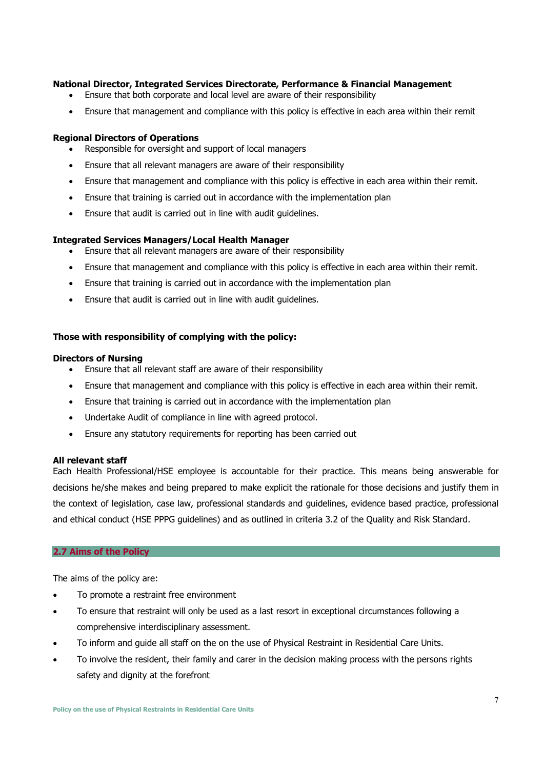### **National Director, Integrated Services Directorate, Performance & Financial Management**

- Ensure that both corporate and local level are aware of their responsibility
- Ensure that management and compliance with this policy is effective in each area within their remit

#### **Regional Directors of Operations**

- Responsible for oversight and support of local managers
- Ensure that all relevant managers are aware of their responsibility
- Ensure that management and compliance with this policy is effective in each area within their remit.
- Ensure that training is carried out in accordance with the implementation plan
- Ensure that audit is carried out in line with audit guidelines.

#### **Integrated Services Managers/Local Health Manager**

- Ensure that all relevant managers are aware of their responsibility
- Ensure that management and compliance with this policy is effective in each area within their remit.
- Ensure that training is carried out in accordance with the implementation plan
- Ensure that audit is carried out in line with audit guidelines.

#### **Those with responsibility of complying with the policy:**

#### **Directors of Nursing**

- Ensure that all relevant staff are aware of their responsibility
- Ensure that management and compliance with this policy is effective in each area within their remit.
- Ensure that training is carried out in accordance with the implementation plan
- Undertake Audit of compliance in line with agreed protocol.
- Ensure any statutory requirements for reporting has been carried out

#### **All relevant staff**

Each Health Professional/HSE employee is accountable for their practice. This means being answerable for decisions he/she makes and being prepared to make explicit the rationale for those decisions and justify them in the context of legislation, case law, professional standards and guidelines, evidence based practice, professional and ethical conduct (HSE PPPG guidelines) and as outlined in criteria 3.2 of the Quality and Risk Standard.

#### **2.7 Aims of the Policy**

The aims of the policy are:

- To promote a restraint free environment
- To ensure that restraint will only be used as a last resort in exceptional circumstances following a comprehensive interdisciplinary assessment.
- To inform and guide all staff on the on the use of Physical Restraint in Residential Care Units.
- To involve the resident, their family and carer in the decision making process with the persons rights safety and dignity at the forefront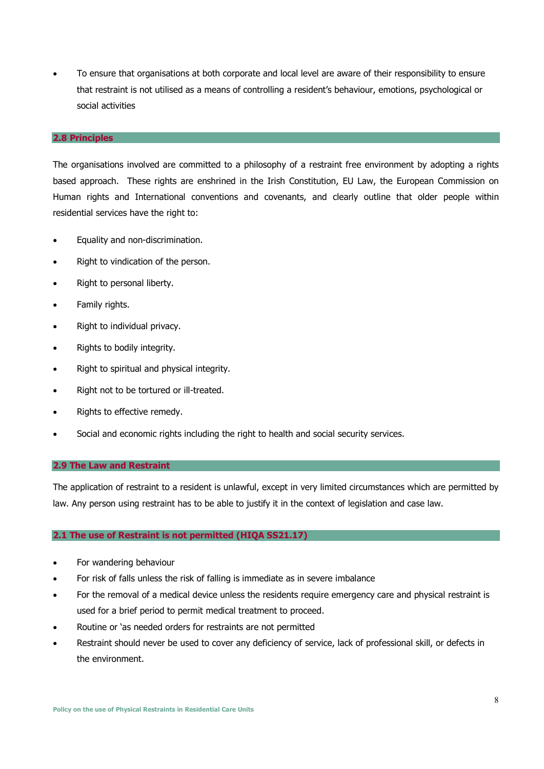• To ensure that organisations at both corporate and local level are aware of their responsibility to ensure that restraint is not utilised as a means of controlling a resident's behaviour, emotions, psychological or social activities

#### **2.8 Principles**

The organisations involved are committed to a philosophy of a restraint free environment by adopting a rights based approach. These rights are enshrined in the Irish Constitution, EU Law, the European Commission on Human rights and International conventions and covenants, and clearly outline that older people within residential services have the right to:

- Equality and non-discrimination.
- Right to vindication of the person.
- Right to personal liberty.
- Family rights.
- Right to individual privacy.
- Rights to bodily integrity.
- Right to spiritual and physical integrity.
- Right not to be tortured or ill-treated.
- Rights to effective remedy.
- Social and economic rights including the right to health and social security services.

#### **2.9 The Law and Restraint**

The application of restraint to a resident is unlawful, except in very limited circumstances which are permitted by law. Any person using restraint has to be able to justify it in the context of legislation and case law.

#### **2.1 The use of Restraint is not permitted (HIQA SS21.17)**

- For wandering behaviour
- For risk of falls unless the risk of falling is immediate as in severe imbalance
- For the removal of a medical device unless the residents require emergency care and physical restraint is used for a brief period to permit medical treatment to proceed.
- Routine or 'as needed orders for restraints are not permitted
- Restraint should never be used to cover any deficiency of service, lack of professional skill, or defects in the environment.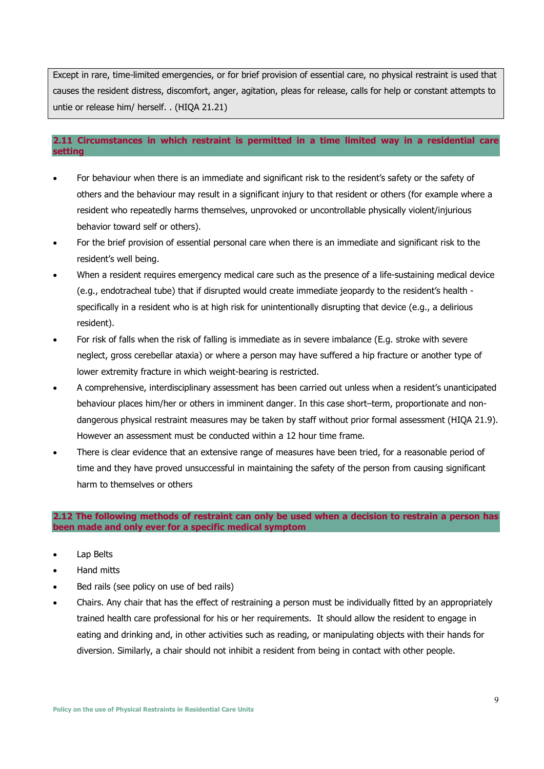Except in rare, time-limited emergencies, or for brief provision of essential care, no physical restraint is used that causes the resident distress, discomfort, anger, agitation, pleas for release, calls for help or constant attempts to untie or release him/ herself. . (HIQA 21.21)

### **2.11 Circumstances in which restraint is permitted in a time limited way in a residential care setting**

- For behaviour when there is an immediate and significant risk to the resident's safety or the safety of others and the behaviour may result in a significant injury to that resident or others (for example where a resident who repeatedly harms themselves, unprovoked or uncontrollable physically violent/injurious behavior toward self or others).
- For the brief provision of essential personal care when there is an immediate and significant risk to the resident's well being.
- When a resident requires emergency medical care such as the presence of a life-sustaining medical device (e.g., endotracheal tube) that if disrupted would create immediate jeopardy to the resident's health specifically in a resident who is at high risk for unintentionally disrupting that device (e.g., a delirious resident).
- For risk of falls when the risk of falling is immediate as in severe imbalance (E.g. stroke with severe neglect, gross cerebellar ataxia) or where a person may have suffered a hip fracture or another type of lower extremity fracture in which weight-bearing is restricted.
- A comprehensive, interdisciplinary assessment has been carried out unless when a resident's unanticipated behaviour places him/her or others in imminent danger. In this case short–term, proportionate and nondangerous physical restraint measures may be taken by staff without prior formal assessment (HIQA 21.9). However an assessment must be conducted within a 12 hour time frame.
- There is clear evidence that an extensive range of measures have been tried, for a reasonable period of time and they have proved unsuccessful in maintaining the safety of the person from causing significant harm to themselves or others

**2.12 The following methods of restraint can only be used when a decision to restrain a person has been made and only ever for a specific medical symptom** 

- Lap Belts
- Hand mitts
- Bed rails (see policy on use of bed rails)
- Chairs. Any chair that has the effect of restraining a person must be individually fitted by an appropriately trained health care professional for his or her requirements. It should allow the resident to engage in eating and drinking and, in other activities such as reading, or manipulating objects with their hands for diversion. Similarly, a chair should not inhibit a resident from being in contact with other people.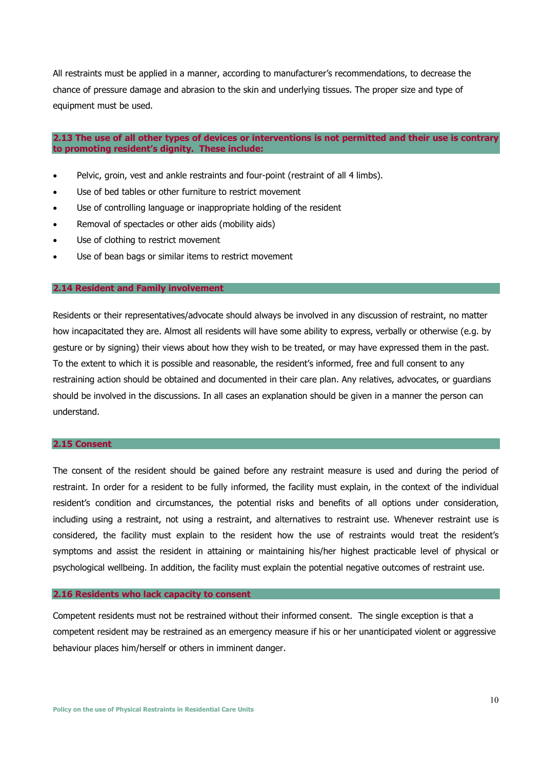All restraints must be applied in a manner, according to manufacturer's recommendations, to decrease the chance of pressure damage and abrasion to the skin and underlying tissues. The proper size and type of equipment must be used.

#### **2.13 The use of all other types of devices or interventions is not permitted and their use is contrary to promoting resident's dignity. These include:**

- Pelvic, groin, vest and ankle restraints and four-point (restraint of all 4 limbs).
- Use of bed tables or other furniture to restrict movement
- Use of controlling language or inappropriate holding of the resident
- Removal of spectacles or other aids (mobility aids)
- Use of clothing to restrict movement
- Use of bean bags or similar items to restrict movement

#### **2.14 Resident and Family involvement**

Residents or their representatives/advocate should always be involved in any discussion of restraint, no matter how incapacitated they are. Almost all residents will have some ability to express, verbally or otherwise (e.g. by gesture or by signing) their views about how they wish to be treated, or may have expressed them in the past. To the extent to which it is possible and reasonable, the resident's informed, free and full consent to any restraining action should be obtained and documented in their care plan. Any relatives, advocates, or guardians should be involved in the discussions. In all cases an explanation should be given in a manner the person can understand.

#### **2.15 Consent**

The consent of the resident should be gained before any restraint measure is used and during the period of restraint. In order for a resident to be fully informed, the facility must explain, in the context of the individual resident's condition and circumstances, the potential risks and benefits of all options under consideration, including using a restraint, not using a restraint, and alternatives to restraint use. Whenever restraint use is considered, the facility must explain to the resident how the use of restraints would treat the resident's symptoms and assist the resident in attaining or maintaining his/her highest practicable level of physical or psychological wellbeing. In addition, the facility must explain the potential negative outcomes of restraint use.

#### **2.16 Residents who lack capacity to consent**

Competent residents must not be restrained without their informed consent. The single exception is that a competent resident may be restrained as an emergency measure if his or her unanticipated violent or aggressive behaviour places him/herself or others in imminent danger.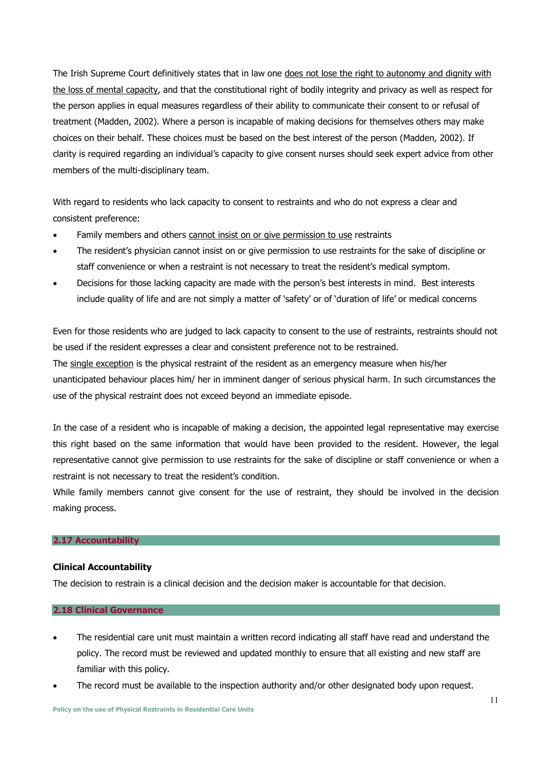The Irish Supreme Court definitively states that in law one does not lose the right to autonomy and dignity with the loss of mental capacity, and that the constitutional right of bodily integrity and privacy as well as respect for the person applies in equal measures regardless of their ability to communicate their consent to or refusal of treatment (Madden, 2002). Where a person is incapable of making decisions for themselves others may make choices on their behalf. These choices must be based on the best interest of the person (Madden, 2002). If clarity is required regarding an individual's capacity to give consent nurses should seek expert advice from other members of the multi-disciplinary team.

With regard to residents who lack capacity to consent to restraints and who do not express a clear and consistent preference:

- Family members and others cannot insist on or give permission to use restraints
- The resident's physician cannot insist on or give permission to use restraints for the sake of discipline or staff convenience or when a restraint is not necessary to treat the resident's medical symptom.
- Decisions for those lacking capacity are made with the person's best interests in mind. Best interests include quality of life and are not simply a matter of 'safety' or of 'duration of life' or medical concerns

Even for those residents who are judged to lack capacity to consent to the use of restraints, restraints should not be used if the resident expresses a clear and consistent preference not to be restrained.

The single exception is the physical restraint of the resident as an emergency measure when his/her unanticipated behaviour places him/ her in imminent danger of serious physical harm. In such circumstances the use of the physical restraint does not exceed beyond an immediate episode.

In the case of a resident who is incapable of making a decision, the appointed legal representative may exercise this right based on the same information that would have been provided to the resident. However, the legal representative cannot give permission to use restraints for the sake of discipline or staff convenience or when a restraint is not necessary to treat the resident's condition.

While family members cannot give consent for the use of restraint, they should be involved in the decision making process.

### **2.17 Accountability**

### **Clinical Accountability**

The decision to restrain is a clinical decision and the decision maker is accountable for that decision.

#### **2.18 Clinical Governance**

- The residential care unit must maintain a written record indicating all staff have read and understand the policy. The record must be reviewed and updated monthly to ensure that all existing and new staff are familiar with this policy.
- The record must be available to the inspection authority and/or other designated body upon request.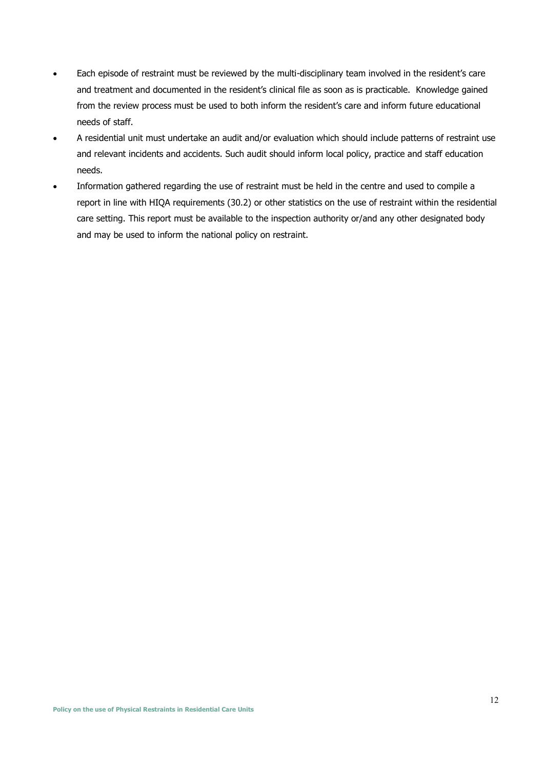- Each episode of restraint must be reviewed by the multi-disciplinary team involved in the resident's care and treatment and documented in the resident's clinical file as soon as is practicable. Knowledge gained from the review process must be used to both inform the resident's care and inform future educational needs of staff.
- A residential unit must undertake an audit and/or evaluation which should include patterns of restraint use and relevant incidents and accidents. Such audit should inform local policy, practice and staff education needs.
- Information gathered regarding the use of restraint must be held in the centre and used to compile a report in line with HIQA requirements (30.2) or other statistics on the use of restraint within the residential care setting. This report must be available to the inspection authority or/and any other designated body and may be used to inform the national policy on restraint.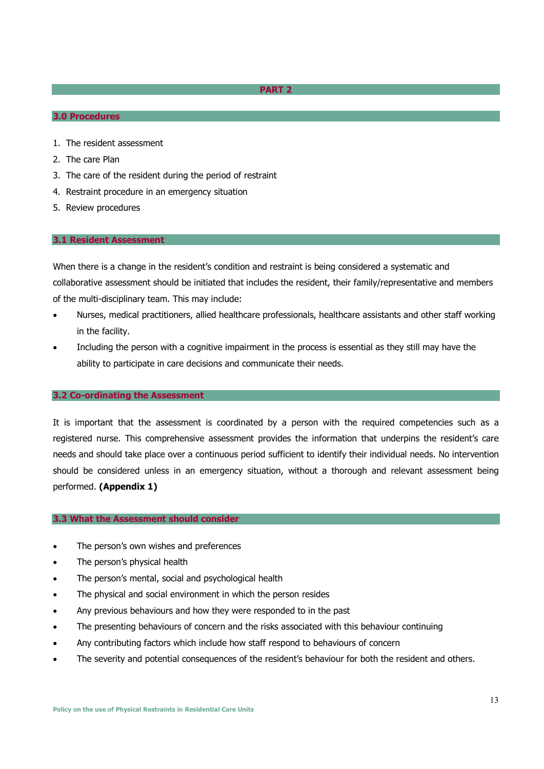#### **PART 2**

#### **3.0 Procedures**

- 1. The resident assessment
- 2. The care Plan
- 3. The care of the resident during the period of restraint
- 4. Restraint procedure in an emergency situation
- 5. Review procedures

#### **3.1 Resident Assessment**

When there is a change in the resident's condition and restraint is being considered a systematic and collaborative assessment should be initiated that includes the resident, their family/representative and members of the multi-disciplinary team. This may include:

- Nurses, medical practitioners, allied healthcare professionals, healthcare assistants and other staff working in the facility.
- Including the person with a cognitive impairment in the process is essential as they still may have the ability to participate in care decisions and communicate their needs.

#### **3.2 Co-ordinating the Assessment**

It is important that the assessment is coordinated by a person with the required competencies such as a registered nurse. This comprehensive assessment provides the information that underpins the resident's care needs and should take place over a continuous period sufficient to identify their individual needs. No intervention should be considered unless in an emergency situation, without a thorough and relevant assessment being performed. **(Appendix 1)**

#### **3.3 What the Assessment should consider**

- The person's own wishes and preferences
- The person's physical health
- The person's mental, social and psychological health
- The physical and social environment in which the person resides
- Any previous behaviours and how they were responded to in the past
- The presenting behaviours of concern and the risks associated with this behaviour continuing
- Any contributing factors which include how staff respond to behaviours of concern
- The severity and potential consequences of the resident's behaviour for both the resident and others.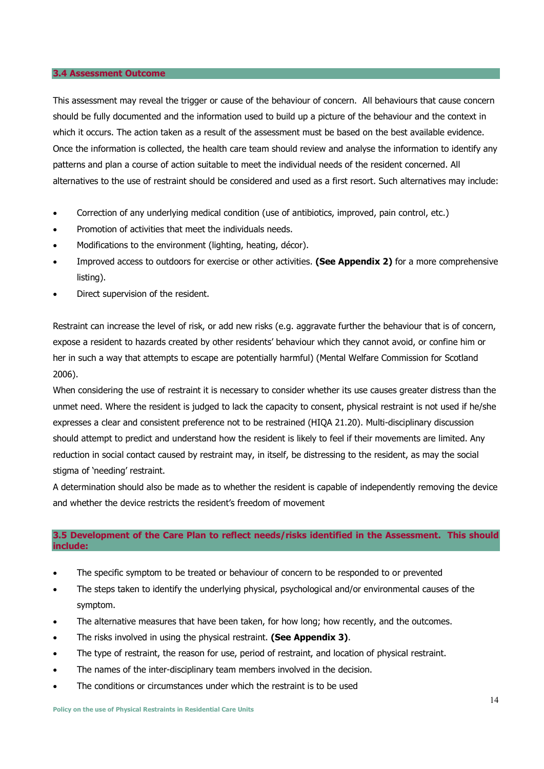#### **3.4 Assessment Outcome**

This assessment may reveal the trigger or cause of the behaviour of concern. All behaviours that cause concern should be fully documented and the information used to build up a picture of the behaviour and the context in which it occurs. The action taken as a result of the assessment must be based on the best available evidence. Once the information is collected, the health care team should review and analyse the information to identify any patterns and plan a course of action suitable to meet the individual needs of the resident concerned. All alternatives to the use of restraint should be considered and used as a first resort. Such alternatives may include:

- Correction of any underlying medical condition (use of antibiotics, improved, pain control, etc.)
- Promotion of activities that meet the individuals needs.
- Modifications to the environment (lighting, heating, décor).
- Improved access to outdoors for exercise or other activities. **(See Appendix 2)** for a more comprehensive listing).
- Direct supervision of the resident.

Restraint can increase the level of risk, or add new risks (e.g. aggravate further the behaviour that is of concern, expose a resident to hazards created by other residents' behaviour which they cannot avoid, or confine him or her in such a way that attempts to escape are potentially harmful) (Mental Welfare Commission for Scotland 2006).

When considering the use of restraint it is necessary to consider whether its use causes greater distress than the unmet need. Where the resident is judged to lack the capacity to consent, physical restraint is not used if he/she expresses a clear and consistent preference not to be restrained (HIQA 21.20). Multi-disciplinary discussion should attempt to predict and understand how the resident is likely to feel if their movements are limited. Any reduction in social contact caused by restraint may, in itself, be distressing to the resident, as may the social stigma of 'needing' restraint.

A determination should also be made as to whether the resident is capable of independently removing the device and whether the device restricts the resident's freedom of movement

### **3.5 Development of the Care Plan to reflect needs/risks identified in the Assessment. This should include:**

- The specific symptom to be treated or behaviour of concern to be responded to or prevented
- The steps taken to identify the underlying physical, psychological and/or environmental causes of the symptom.
- The alternative measures that have been taken, for how long; how recently, and the outcomes.
- The risks involved in using the physical restraint. **(See Appendix 3)**.
- The type of restraint, the reason for use, period of restraint, and location of physical restraint.
- The names of the inter-disciplinary team members involved in the decision.
- The conditions or circumstances under which the restraint is to be used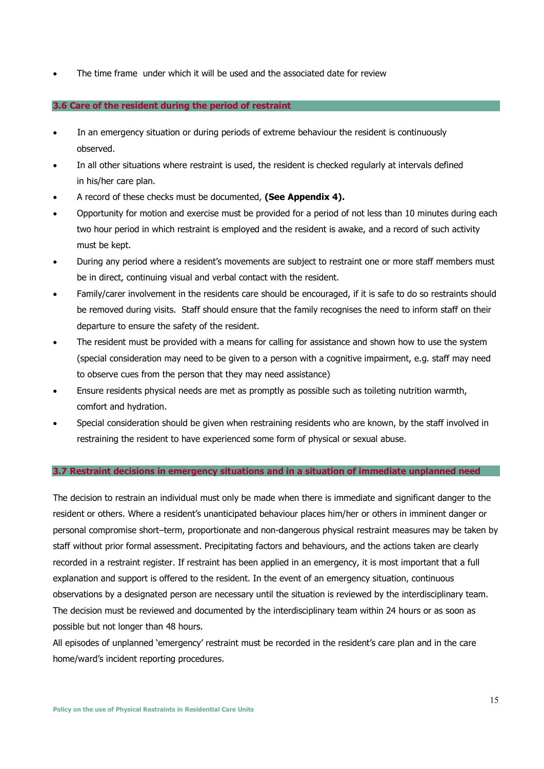• The time frame under which it will be used and the associated date for review

#### **3.6 Care of the resident during the period of restraint**

- In an emergency situation or during periods of extreme behaviour the resident is continuously observed.
- In all other situations where restraint is used, the resident is checked regularly at intervals defined in his/her care plan.
- A record of these checks must be documented, **(See Appendix 4).**
- Opportunity for motion and exercise must be provided for a period of not less than 10 minutes during each two hour period in which restraint is employed and the resident is awake, and a record of such activity must be kept.
- During any period where a resident's movements are subject to restraint one or more staff members must be in direct, continuing visual and verbal contact with the resident.
- Family/carer involvement in the residents care should be encouraged, if it is safe to do so restraints should be removed during visits. Staff should ensure that the family recognises the need to inform staff on their departure to ensure the safety of the resident.
- The resident must be provided with a means for calling for assistance and shown how to use the system (special consideration may need to be given to a person with a cognitive impairment, e.g. staff may need to observe cues from the person that they may need assistance)
- Ensure residents physical needs are met as promptly as possible such as toileting nutrition warmth, comfort and hydration.
- Special consideration should be given when restraining residents who are known, by the staff involved in restraining the resident to have experienced some form of physical or sexual abuse.

#### **3.7 Restraint decisions in emergency situations and in a situation of immediate unplanned need**

The decision to restrain an individual must only be made when there is immediate and significant danger to the resident or others. Where a resident's unanticipated behaviour places him/her or others in imminent danger or personal compromise short–term, proportionate and non-dangerous physical restraint measures may be taken by staff without prior formal assessment. Precipitating factors and behaviours, and the actions taken are clearly recorded in a restraint register. If restraint has been applied in an emergency, it is most important that a full explanation and support is offered to the resident. In the event of an emergency situation, continuous observations by a designated person are necessary until the situation is reviewed by the interdisciplinary team. The decision must be reviewed and documented by the interdisciplinary team within 24 hours or as soon as possible but not longer than 48 hours.

All episodes of unplanned 'emergency' restraint must be recorded in the resident's care plan and in the care home/ward's incident reporting procedures.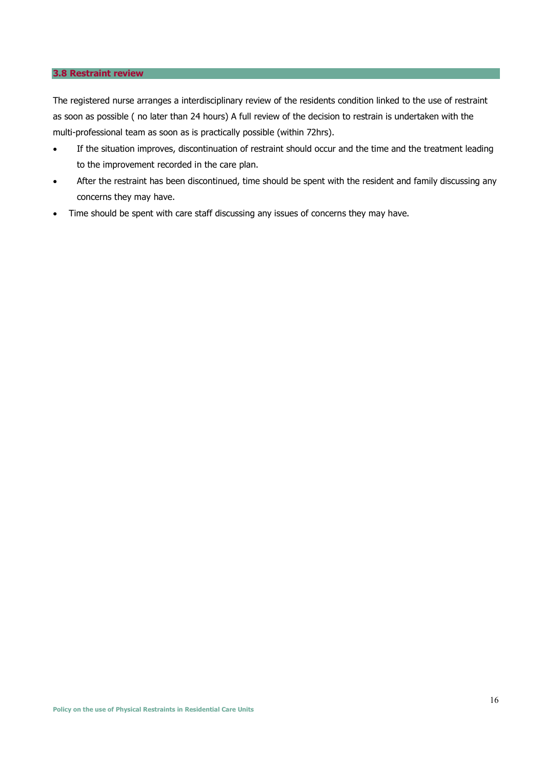#### **3.8 Restraint review**

The registered nurse arranges a interdisciplinary review of the residents condition linked to the use of restraint as soon as possible ( no later than 24 hours) A full review of the decision to restrain is undertaken with the multi-professional team as soon as is practically possible (within 72hrs).

- If the situation improves, discontinuation of restraint should occur and the time and the treatment leading to the improvement recorded in the care plan.
- After the restraint has been discontinued, time should be spent with the resident and family discussing any concerns they may have.
- Time should be spent with care staff discussing any issues of concerns they may have.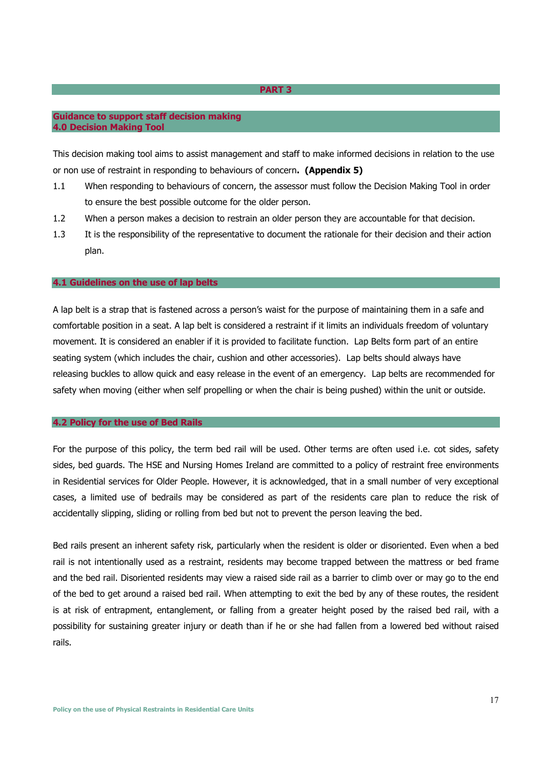#### **PART 3**

#### **Guidance to support staff decision making 4.0 Decision Making Tool**

This decision making tool aims to assist management and staff to make informed decisions in relation to the use or non use of restraint in responding to behaviours of concern**. (Appendix 5)** 

- 1.1 When responding to behaviours of concern, the assessor must follow the Decision Making Tool in order to ensure the best possible outcome for the older person.
- 1.2 When a person makes a decision to restrain an older person they are accountable for that decision.
- 1.3 It is the responsibility of the representative to document the rationale for their decision and their action plan.

#### **4.1 Guidelines on the use of lap belts**

A lap belt is a strap that is fastened across a person's waist for the purpose of maintaining them in a safe and comfortable position in a seat. A lap belt is considered a restraint if it limits an individuals freedom of voluntary movement. It is considered an enabler if it is provided to facilitate function. Lap Belts form part of an entire seating system (which includes the chair, cushion and other accessories). Lap belts should always have releasing buckles to allow quick and easy release in the event of an emergency. Lap belts are recommended for safety when moving (either when self propelling or when the chair is being pushed) within the unit or outside.

#### **4.2 Policy for the use of Bed Rails**

For the purpose of this policy, the term bed rail will be used. Other terms are often used i.e. cot sides, safety sides, bed guards. The HSE and Nursing Homes Ireland are committed to a policy of restraint free environments in Residential services for Older People. However, it is acknowledged, that in a small number of very exceptional cases, a limited use of bedrails may be considered as part of the residents care plan to reduce the risk of accidentally slipping, sliding or rolling from bed but not to prevent the person leaving the bed.

Bed rails present an inherent safety risk, particularly when the resident is older or disoriented. Even when a bed rail is not intentionally used as a restraint, residents may become trapped between the mattress or bed frame and the bed rail. Disoriented residents may view a raised side rail as a barrier to climb over or may go to the end of the bed to get around a raised bed rail. When attempting to exit the bed by any of these routes, the resident is at risk of entrapment, entanglement, or falling from a greater height posed by the raised bed rail, with a possibility for sustaining greater injury or death than if he or she had fallen from a lowered bed without raised rails.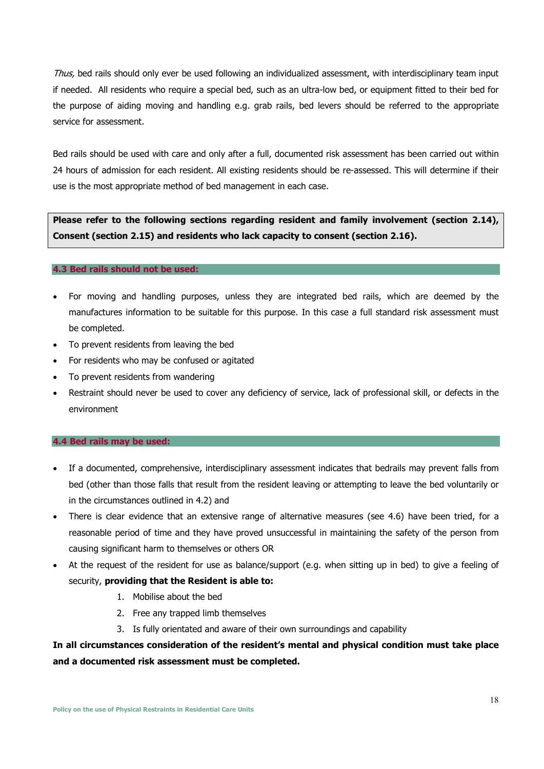Thus, bed rails should only ever be used following an individualized assessment, with interdisciplinary team input if needed. All residents who require a special bed, such as an ultra-low bed, or equipment fitted to their bed for the purpose of aiding moving and handling e.g. grab rails, bed levers should be referred to the appropriate service for assessment.

Bed rails should be used with care and only after a full, documented risk assessment has been carried out within 24 hours of admission for each resident. All existing residents should be re-assessed. This will determine if their use is the most appropriate method of bed management in each case.

**Please refer to the following sections regarding resident and family involvement (section 2.14), Consent (section 2.15) and residents who lack capacity to consent (section 2.16).** 

#### **4.3 Bed rails should not be used:**

- For moving and handling purposes, unless they are integrated bed rails, which are deemed by the manufactures information to be suitable for this purpose. In this case a full standard risk assessment must be completed.
- To prevent residents from leaving the bed
- For residents who may be confused or agitated
- To prevent residents from wandering
- Restraint should never be used to cover any deficiency of service, lack of professional skill, or defects in the environment

#### **4.4 Bed rails may be used:**

- If a documented, comprehensive, interdisciplinary assessment indicates that bedrails may prevent falls from bed (other than those falls that result from the resident leaving or attempting to leave the bed voluntarily or in the circumstances outlined in 4.2) and
- There is clear evidence that an extensive range of alternative measures (see 4.6) have been tried, for a reasonable period of time and they have proved unsuccessful in maintaining the safety of the person from causing significant harm to themselves or others OR
- At the request of the resident for use as balance/support (e.g. when sitting up in bed) to give a feeling of security, **providing that the Resident is able to:** 
	- 1. Mobilise about the bed
	- 2. Free any trapped limb themselves
	- 3. Is fully orientated and aware of their own surroundings and capability

**In all circumstances consideration of the resident's mental and physical condition must take place and a documented risk assessment must be completed.**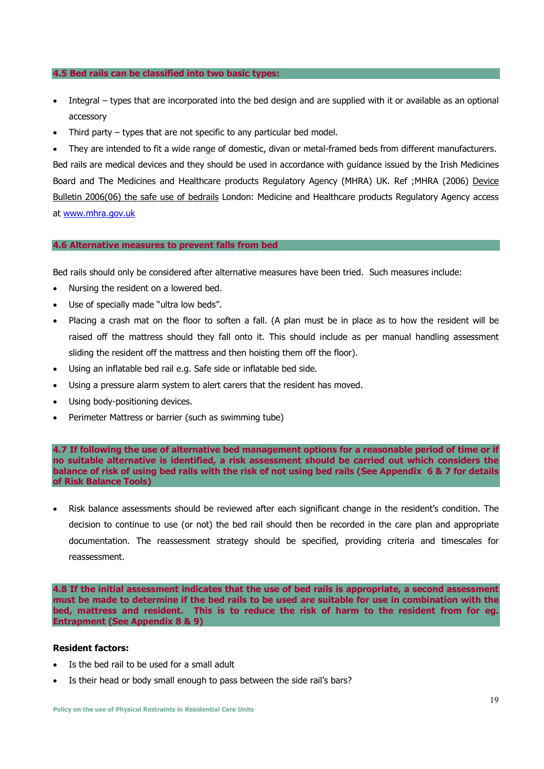#### **4.5 Bed rails can be classified into two basic types:**

- Integral types that are incorporated into the bed design and are supplied with it or available as an optional accessory
- Third party types that are not specific to any particular bed model.

• They are intended to fit a wide range of domestic, divan or metal-framed beds from different manufacturers. Bed rails are medical devices and they should be used in accordance with guidance issued by the Irish Medicines Board and The Medicines and Healthcare products Regulatory Agency (MHRA) UK. Ref ;MHRA (2006) Device Bulletin 2006(06) the safe use of bedrails London: Medicine and Healthcare products Regulatory Agency access at www.mhra.gov.uk

#### **4.6 Alternative measures to prevent falls from bed**

Bed rails should only be considered after alternative measures have been tried. Such measures include:

- Nursing the resident on a lowered bed.
- Use of specially made "ultra low beds".
- Placing a crash mat on the floor to soften a fall. (A plan must be in place as to how the resident will be raised off the mattress should they fall onto it. This should include as per manual handling assessment sliding the resident off the mattress and then hoisting them off the floor).
- Using an inflatable bed rail e.g. Safe side or inflatable bed side.
- Using a pressure alarm system to alert carers that the resident has moved.
- Using body-positioning devices.
- Perimeter Mattress or barrier (such as swimming tube)

**4.7 If following the use of alternative bed management options for a reasonable period of time or if no suitable alternative is identified, a risk assessment should be carried out which considers the balance of risk of using bed rails with the risk of not using bed rails (See Appendix 6 & 7 for details of Risk Balance Tools)** 

• Risk balance assessments should be reviewed after each significant change in the resident's condition. The decision to continue to use (or not) the bed rail should then be recorded in the care plan and appropriate documentation. The reassessment strategy should be specified, providing criteria and timescales for reassessment.

**4.8 If the initial assessment indicates that the use of bed rails is appropriate, a second assessment must be made to determine if the bed rails to be used are suitable for use in combination with the bed, mattress and resident. This is to reduce the risk of harm to the resident from for eg. Entrapment (See Appendix 8 & 9)** 

#### **Resident factors:**

- Is the bed rail to be used for a small adult
- Is their head or body small enough to pass between the side rail's bars?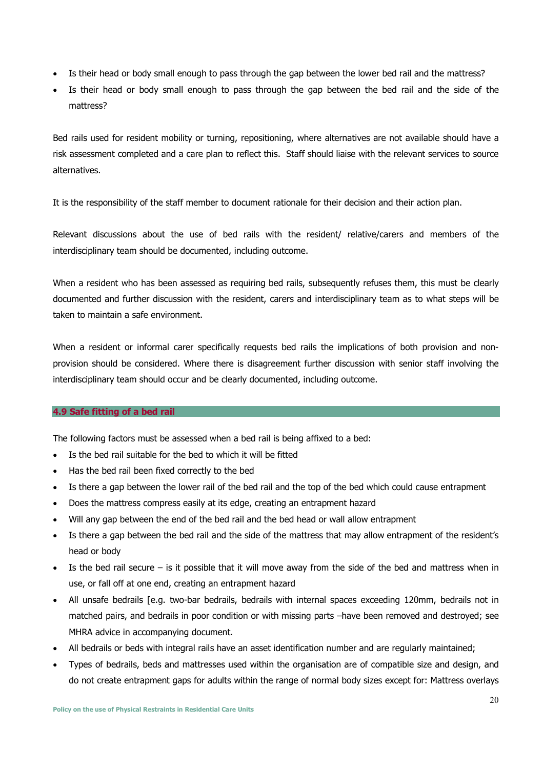- Is their head or body small enough to pass through the gap between the lower bed rail and the mattress?
- Is their head or body small enough to pass through the gap between the bed rail and the side of the mattress?

Bed rails used for resident mobility or turning, repositioning, where alternatives are not available should have a risk assessment completed and a care plan to reflect this. Staff should liaise with the relevant services to source alternatives.

It is the responsibility of the staff member to document rationale for their decision and their action plan.

Relevant discussions about the use of bed rails with the resident/ relative/carers and members of the interdisciplinary team should be documented, including outcome.

When a resident who has been assessed as requiring bed rails, subsequently refuses them, this must be clearly documented and further discussion with the resident, carers and interdisciplinary team as to what steps will be taken to maintain a safe environment.

When a resident or informal carer specifically requests bed rails the implications of both provision and nonprovision should be considered. Where there is disagreement further discussion with senior staff involving the interdisciplinary team should occur and be clearly documented, including outcome.

#### **4.9 Safe fitting of a bed rail**

The following factors must be assessed when a bed rail is being affixed to a bed:

- Is the bed rail suitable for the bed to which it will be fitted
- Has the bed rail been fixed correctly to the bed
- Is there a gap between the lower rail of the bed rail and the top of the bed which could cause entrapment
- Does the mattress compress easily at its edge, creating an entrapment hazard
- Will any gap between the end of the bed rail and the bed head or wall allow entrapment
- Is there a gap between the bed rail and the side of the mattress that may allow entrapment of the resident's head or body
- Is the bed rail secure is it possible that it will move away from the side of the bed and mattress when in use, or fall off at one end, creating an entrapment hazard
- All unsafe bedrails [e.g. two-bar bedrails, bedrails with internal spaces exceeding 120mm, bedrails not in matched pairs, and bedrails in poor condition or with missing parts –have been removed and destroyed; see MHRA advice in accompanying document.
- All bedrails or beds with integral rails have an asset identification number and are regularly maintained;
- Types of bedrails, beds and mattresses used within the organisation are of compatible size and design, and do not create entrapment gaps for adults within the range of normal body sizes except for: Mattress overlays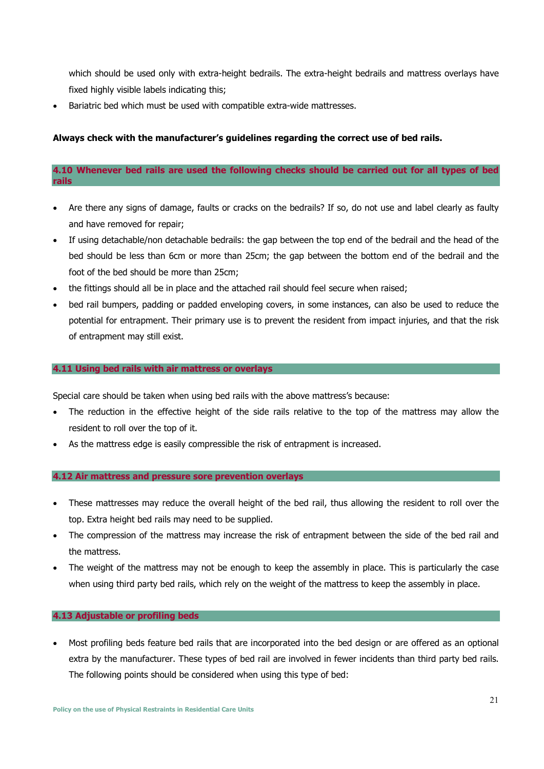which should be used only with extra-height bedrails. The extra-height bedrails and mattress overlays have fixed highly visible labels indicating this;

Bariatric bed which must be used with compatible extra-wide mattresses.

#### **Always check with the manufacturer's guidelines regarding the correct use of bed rails.**

#### **4.10 Whenever bed rails are used the following checks should be carried out for all types of bed rails**

- Are there any signs of damage, faults or cracks on the bedrails? If so, do not use and label clearly as faulty and have removed for repair;
- If using detachable/non detachable bedrails: the gap between the top end of the bedrail and the head of the bed should be less than 6cm or more than 25cm; the gap between the bottom end of the bedrail and the foot of the bed should be more than 25cm;
- the fittings should all be in place and the attached rail should feel secure when raised;
- bed rail bumpers, padding or padded enveloping covers, in some instances, can also be used to reduce the potential for entrapment. Their primary use is to prevent the resident from impact injuries, and that the risk of entrapment may still exist.

#### **4.11 Using bed rails with air mattress or overlays**

Special care should be taken when using bed rails with the above mattress's because:

- The reduction in the effective height of the side rails relative to the top of the mattress may allow the resident to roll over the top of it.
- As the mattress edge is easily compressible the risk of entrapment is increased.

#### **4.12 Air mattress and pressure sore prevention overlays**

- These mattresses may reduce the overall height of the bed rail, thus allowing the resident to roll over the top. Extra height bed rails may need to be supplied.
- The compression of the mattress may increase the risk of entrapment between the side of the bed rail and the mattress.
- The weight of the mattress may not be enough to keep the assembly in place. This is particularly the case when using third party bed rails, which rely on the weight of the mattress to keep the assembly in place.

#### **4.13 Adjustable or profiling beds**

• Most profiling beds feature bed rails that are incorporated into the bed design or are offered as an optional extra by the manufacturer. These types of bed rail are involved in fewer incidents than third party bed rails. The following points should be considered when using this type of bed: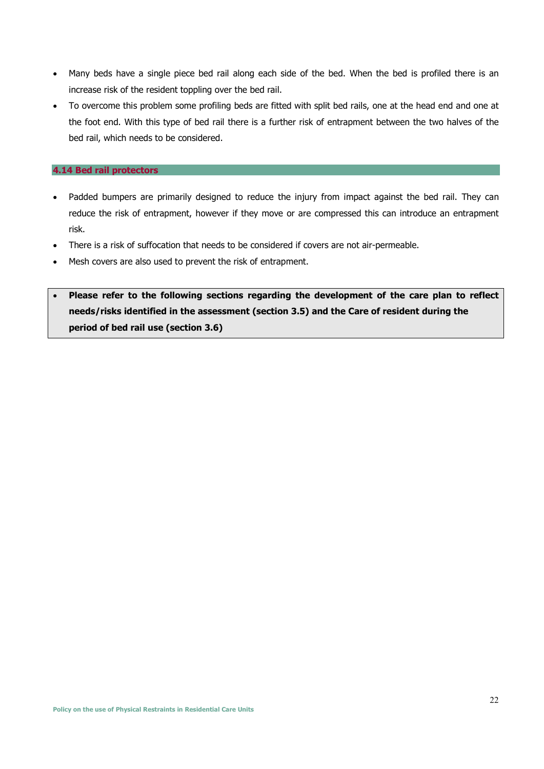- Many beds have a single piece bed rail along each side of the bed. When the bed is profiled there is an increase risk of the resident toppling over the bed rail.
- To overcome this problem some profiling beds are fitted with split bed rails, one at the head end and one at the foot end. With this type of bed rail there is a further risk of entrapment between the two halves of the bed rail, which needs to be considered.

#### **4.14 Bed rail protectors**

- Padded bumpers are primarily designed to reduce the injury from impact against the bed rail. They can reduce the risk of entrapment, however if they move or are compressed this can introduce an entrapment risk.
- There is a risk of suffocation that needs to be considered if covers are not air-permeable.
- Mesh covers are also used to prevent the risk of entrapment.
- **Please refer to the following sections regarding the development of the care plan to reflect needs/risks identified in the assessment (section 3.5) and the Care of resident during the period of bed rail use (section 3.6)**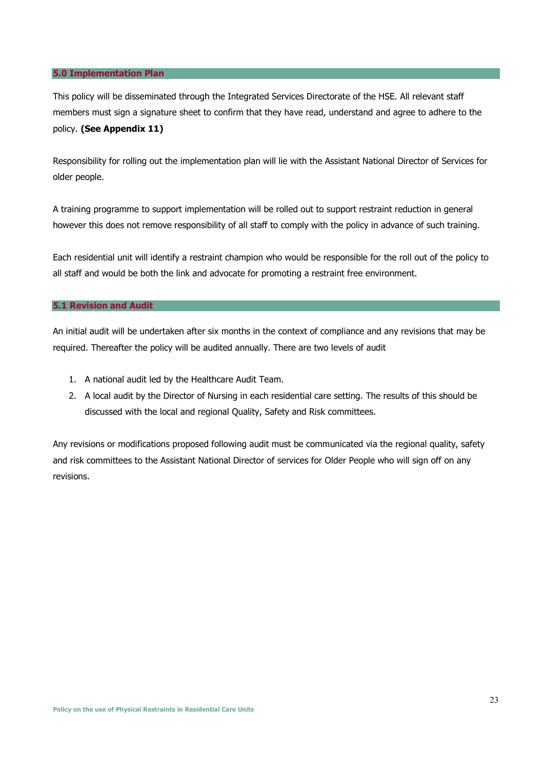#### **5.0 Implementation Plan**

This policy will be disseminated through the Integrated Services Directorate of the HSE. All relevant staff members must sign a signature sheet to confirm that they have read, understand and agree to adhere to the policy. **(See Appendix 11)**

Responsibility for rolling out the implementation plan will lie with the Assistant National Director of Services for older people.

A training programme to support implementation will be rolled out to support restraint reduction in general however this does not remove responsibility of all staff to comply with the policy in advance of such training.

Each residential unit will identify a restraint champion who would be responsible for the roll out of the policy to all staff and would be both the link and advocate for promoting a restraint free environment.

#### **5.1 Revision and Audit**

An initial audit will be undertaken after six months in the context of compliance and any revisions that may be required. Thereafter the policy will be audited annually. There are two levels of audit

- 1. A national audit led by the Healthcare Audit Team.
- 2. A local audit by the Director of Nursing in each residential care setting. The results of this should be discussed with the local and regional Quality, Safety and Risk committees.

Any revisions or modifications proposed following audit must be communicated via the regional quality, safety and risk committees to the Assistant National Director of services for Older People who will sign off on any revisions.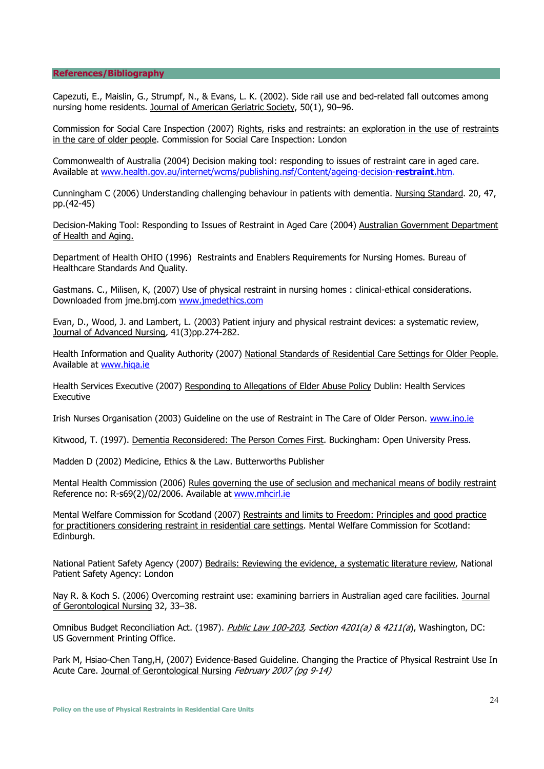#### **References/Bibliography**

Capezuti, E., Maislin, G., Strumpf, N., & Evans, L. K. (2002). Side rail use and bed-related fall outcomes among nursing home residents. Journal of American Geriatric Society, 50(1), 90–96.

Commission for Social Care Inspection (2007) Rights, risks and restraints: an exploration in the use of restraints in the care of older people. Commission for Social Care Inspection: London

Commonwealth of Australia (2004) Decision making tool: responding to issues of restraint care in aged care. Available at www.health.gov.au/internet/wcms/publishing.nsf/Content/ageing-decision-**restraint**.htm.

Cunningham C (2006) Understanding challenging behaviour in patients with dementia. Nursing Standard. 20, 47, pp.(42-45)

Decision-Making Tool: Responding to Issues of Restraint in Aged Care (2004) Australian Government Department of Health and Aging.

Department of Health OHIO (1996) Restraints and Enablers Requirements for Nursing Homes. Bureau of Healthcare Standards And Quality.

Gastmans. C., Milisen, K, (2007) Use of physical restraint in nursing homes : clinical-ethical considerations. Downloaded from jme.bmj.com www.jmedethics.com

Evan, D., Wood, J. and Lambert, L. (2003) Patient injury and physical restraint devices: a systematic review, Journal of Advanced Nursing, 41(3)pp.274-282.

Health Information and Quality Authority (2007) National Standards of Residential Care Settings for Older People. Available at www.hiqa.ie

Health Services Executive (2007) Responding to Allegations of Elder Abuse Policy Dublin: Health Services Executive

Irish Nurses Organisation (2003) Guideline on the use of Restraint in The Care of Older Person. www.ino.ie

Kitwood, T. (1997). Dementia Reconsidered: The Person Comes First. Buckingham: Open University Press.

Madden D (2002) Medicine, Ethics & the Law. Butterworths Publisher

Mental Health Commission (2006) Rules governing the use of seclusion and mechanical means of bodily restraint Reference no: R-s69(2)/02/2006. Available at www.mhcirl.ie

Mental Welfare Commission for Scotland (2007) Restraints and limits to Freedom: Principles and good practice for practitioners considering restraint in residential care settings. Mental Welfare Commission for Scotland: Edinburgh.

National Patient Safety Agency (2007) Bedrails: Reviewing the evidence, a systematic literature review, National Patient Safety Agency: London

Nay R. & Koch S. (2006) Overcoming restraint use: examining barriers in Australian aged care facilities. Journal of Gerontological Nursing 32, 33–38.

Omnibus Budget Reconciliation Act. (1987). Public Law 100-203, Section 4201(a) & 4211(a), Washington, DC: US Government Printing Office.

Park M, Hsiao-Chen Tang,H, (2007) Evidence-Based Guideline. Changing the Practice of Physical Restraint Use In Acute Care. Journal of Gerontological Nursing February 2007 (pg 9-14)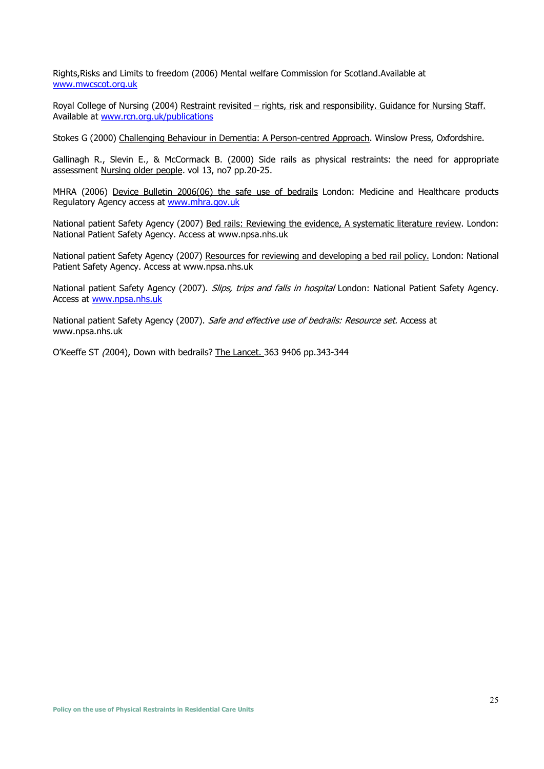Rights,Risks and Limits to freedom (2006) Mental welfare Commission for Scotland.Available at www.mwcscot.org.uk

Royal College of Nursing (2004) Restraint revisited – rights, risk and responsibility. Guidance for Nursing Staff. Available at www.rcn.org.uk/publications

Stokes G (2000) Challenging Behaviour in Dementia: A Person-centred Approach. Winslow Press, Oxfordshire.

Gallinagh R., Slevin E., & McCormack B. (2000) Side rails as physical restraints: the need for appropriate assessment Nursing older people. vol 13, no7 pp.20-25.

MHRA (2006) Device Bulletin 2006(06) the safe use of bedrails London: Medicine and Healthcare products Regulatory Agency access at www.mhra.gov.uk

National patient Safety Agency (2007) Bed rails: Reviewing the evidence, A systematic literature review. London: National Patient Safety Agency. Access at www.npsa.nhs.uk

National patient Safety Agency (2007) Resources for reviewing and developing a bed rail policy. London: National Patient Safety Agency. Access at www.npsa.nhs.uk

National patient Safety Agency (2007). Slips, trips and falls in hospital London: National Patient Safety Agency. Access at www.npsa.nhs.uk

National patient Safety Agency (2007). Safe and effective use of bedrails: Resource set. Access at www.npsa.nhs.uk

O'Keeffe ST (2004), Down with bedrails? The Lancet. 363 9406 pp.343-344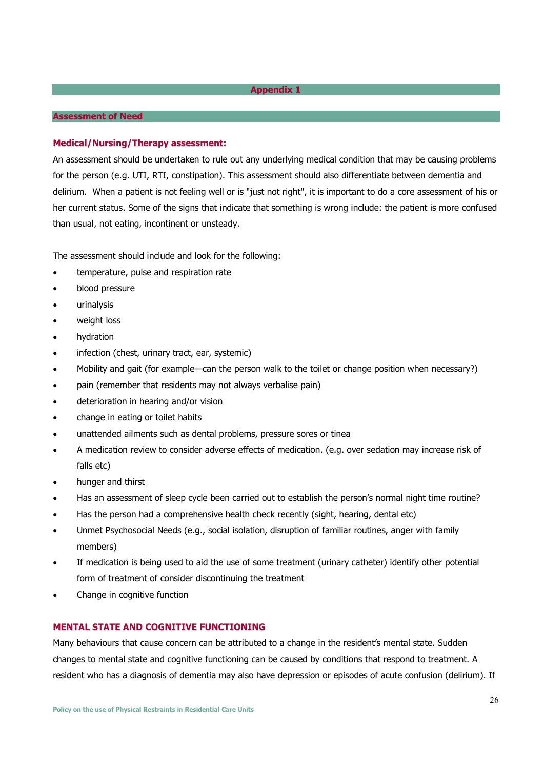#### **Assessment of Need**

#### **Medical/Nursing/Therapy assessment:**

An assessment should be undertaken to rule out any underlying medical condition that may be causing problems for the person (e.g. UTI, RTI, constipation). This assessment should also differentiate between dementia and delirium. When a patient is not feeling well or is "just not right", it is important to do a core assessment of his or her current status. Some of the signs that indicate that something is wrong include: the patient is more confused than usual, not eating, incontinent or unsteady.

The assessment should include and look for the following:

- temperature, pulse and respiration rate
- blood pressure
- urinalysis
- weight loss
- hydration
- infection (chest, urinary tract, ear, systemic)
- Mobility and gait (for example—can the person walk to the toilet or change position when necessary?)
- pain (remember that residents may not always verbalise pain)
- deterioration in hearing and/or vision
- change in eating or toilet habits
- unattended ailments such as dental problems, pressure sores or tinea
- A medication review to consider adverse effects of medication. (e.g. over sedation may increase risk of falls etc)
- hunger and thirst
- Has an assessment of sleep cycle been carried out to establish the person's normal night time routine?
- Has the person had a comprehensive health check recently (sight, hearing, dental etc)
- Unmet Psychosocial Needs (e.g., social isolation, disruption of familiar routines, anger with family members)
- If medication is being used to aid the use of some treatment (urinary catheter) identify other potential form of treatment of consider discontinuing the treatment
- Change in cognitive function

#### **MENTAL STATE AND COGNITIVE FUNCTIONING**

Many behaviours that cause concern can be attributed to a change in the resident's mental state. Sudden changes to mental state and cognitive functioning can be caused by conditions that respond to treatment. A resident who has a diagnosis of dementia may also have depression or episodes of acute confusion (delirium). If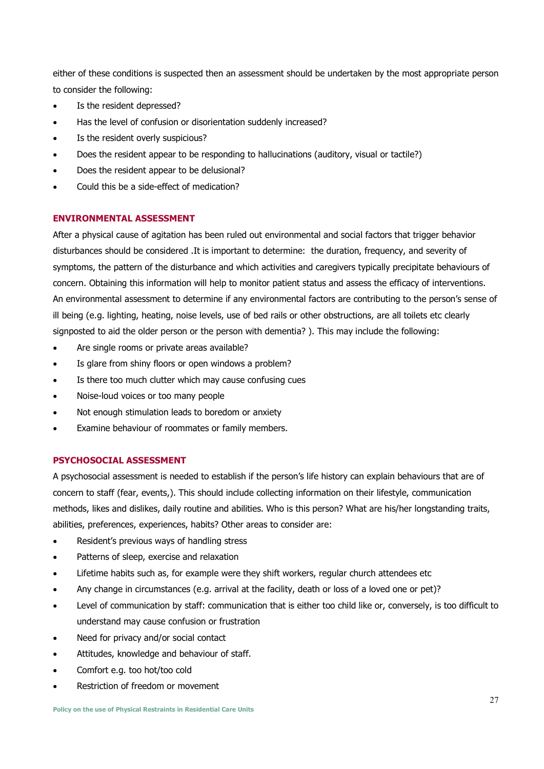either of these conditions is suspected then an assessment should be undertaken by the most appropriate person to consider the following:

- Is the resident depressed?
- Has the level of confusion or disorientation suddenly increased?
- Is the resident overly suspicious?
- Does the resident appear to be responding to hallucinations (auditory, visual or tactile?)
- Does the resident appear to be delusional?
- Could this be a side-effect of medication?

### **ENVIRONMENTAL ASSESSMENT**

After a physical cause of agitation has been ruled out environmental and social factors that trigger behavior disturbances should be considered .It is important to determine: the duration, frequency, and severity of symptoms, the pattern of the disturbance and which activities and caregivers typically precipitate behaviours of concern. Obtaining this information will help to monitor patient status and assess the efficacy of interventions. An environmental assessment to determine if any environmental factors are contributing to the person's sense of ill being (e.g. lighting, heating, noise levels, use of bed rails or other obstructions, are all toilets etc clearly signposted to aid the older person or the person with dementia? ). This may include the following:

- Are single rooms or private areas available?
- Is glare from shiny floors or open windows a problem?
- Is there too much clutter which may cause confusing cues
- Noise-loud voices or too many people
- Not enough stimulation leads to boredom or anxiety
- Examine behaviour of roommates or family members.

### **PSYCHOSOCIAL ASSESSMENT**

A psychosocial assessment is needed to establish if the person's life history can explain behaviours that are of concern to staff (fear, events,). This should include collecting information on their lifestyle, communication methods, likes and dislikes, daily routine and abilities. Who is this person? What are his/her longstanding traits, abilities, preferences, experiences, habits? Other areas to consider are:

- Resident's previous ways of handling stress
- Patterns of sleep, exercise and relaxation
- Lifetime habits such as, for example were they shift workers, regular church attendees etc
- Any change in circumstances (e.g. arrival at the facility, death or loss of a loved one or pet)?
- Level of communication by staff: communication that is either too child like or, conversely, is too difficult to understand may cause confusion or frustration
- Need for privacy and/or social contact
- Attitudes, knowledge and behaviour of staff.
- Comfort e.g. too hot/too cold
- Restriction of freedom or movement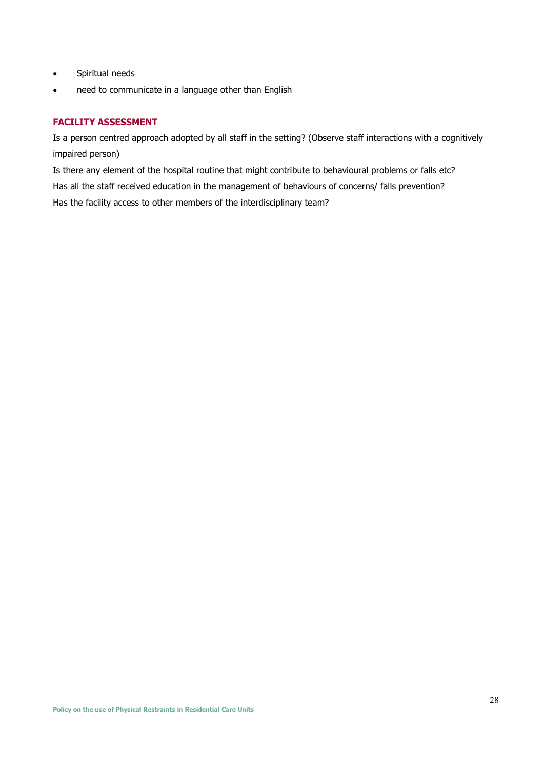- Spiritual needs
- need to communicate in a language other than English

### **FACILITY ASSESSMENT**

Is a person centred approach adopted by all staff in the setting? (Observe staff interactions with a cognitively impaired person)

Is there any element of the hospital routine that might contribute to behavioural problems or falls etc? Has all the staff received education in the management of behaviours of concerns/ falls prevention? Has the facility access to other members of the interdisciplinary team?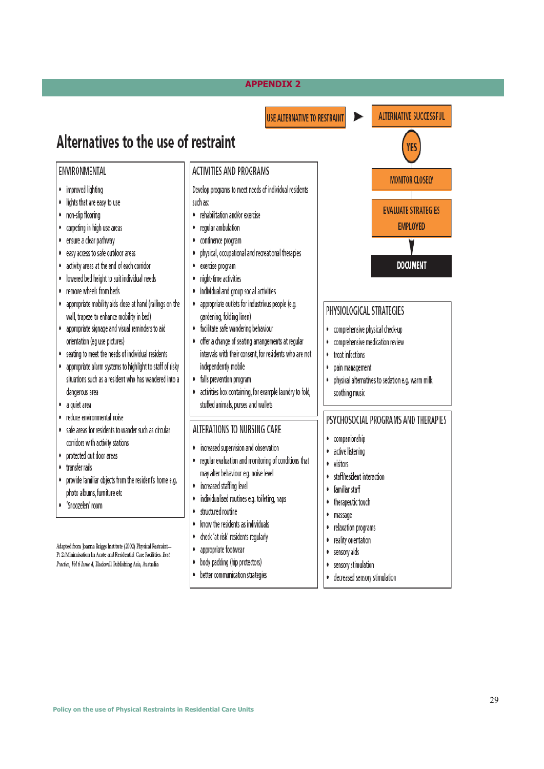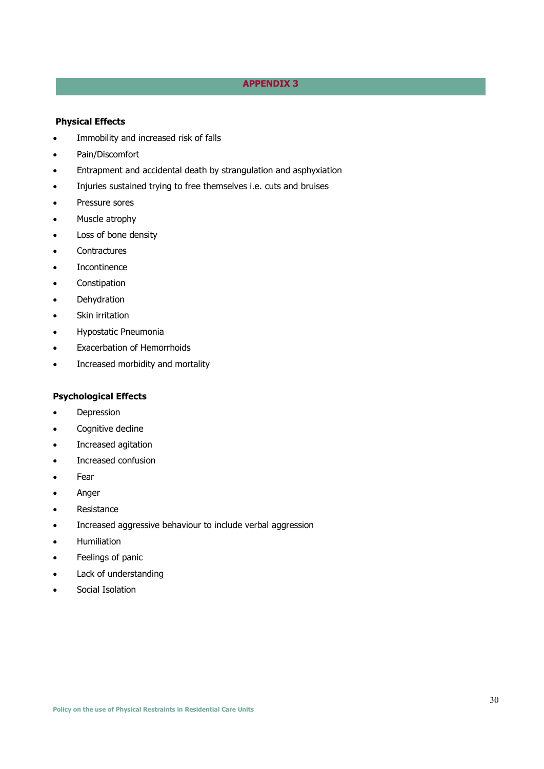#### **NEGATIVE EFFECTS OF RESTRAINT USE APPENDIX 3**

#### **Physical Effects**

- Immobility and increased risk of falls
- Pain/Discomfort
- Entrapment and accidental death by strangulation and asphyxiation
- Injuries sustained trying to free themselves i.e. cuts and bruises
- Pressure sores
- Muscle atrophy
- Loss of bone density
- **Contractures**
- **Incontinence**
- Constipation
- **Dehydration**
- Skin irritation
- Hypostatic Pneumonia
- Exacerbation of Hemorrhoids
- Increased morbidity and mortality

# **Psychological Effects**

- **Depression**
- Cognitive decline
- Increased agitation
- Increased confusion
- Fear
- Anger
- Resistance
- Increased aggressive behaviour to include verbal aggression
- Humiliation
- Feelings of panic
- Lack of understanding
- Social Isolation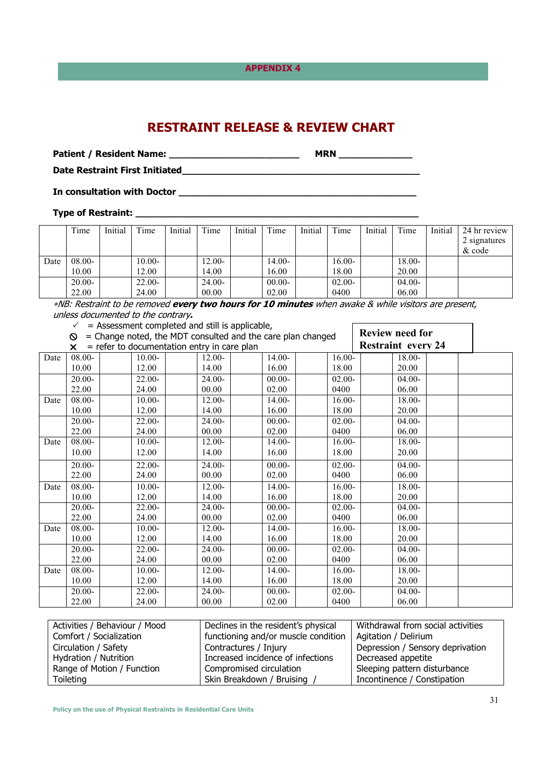# **RESTRAINT RELEASE & REVIEW CHART**

**Patient / Resident Name: \_\_\_\_\_\_\_\_\_\_\_\_\_\_\_\_\_\_\_\_\_\_\_ MRN \_\_\_\_\_\_\_\_\_\_\_\_\_** 

**Date Restraint First Initiated\_\_\_\_\_\_\_\_\_\_\_\_\_\_\_\_\_\_\_\_\_\_\_\_\_\_\_\_\_\_\_\_\_\_\_\_\_\_\_\_\_\_** 

**In consultation with Doctor \_\_\_\_\_\_\_\_\_\_\_\_\_\_\_\_\_\_\_\_\_\_\_\_\_\_\_\_\_\_\_\_\_\_\_\_\_\_\_\_\_\_** 

**Type of Restraint: \_\_\_\_\_\_\_\_\_\_\_\_\_\_\_\_\_\_\_\_\_\_\_\_\_\_\_\_\_\_\_\_\_\_\_\_\_\_\_\_\_\_\_\_\_\_\_\_\_\_** 

|      | Time     | Initial | Time      | Initial | Time     | Initial | Time      | Initial | Time      | Initial | Time      | Initial | 24 hr review |
|------|----------|---------|-----------|---------|----------|---------|-----------|---------|-----------|---------|-----------|---------|--------------|
|      |          |         |           |         |          |         |           |         |           |         |           |         | 2 signatures |
|      |          |         |           |         |          |         |           |         |           |         |           |         | $\&$ code    |
| Date | 08.00-   |         | $10.00 -$ |         | 12.00-   |         | $14.00 -$ |         | $16.00-$  |         | $18.00 -$ |         |              |
|      | 10.00    |         | 12.00     |         | 14.00    |         | 16.00     |         | 18.00     |         | 20.00     |         |              |
|      | $20.00-$ |         | $22.00 -$ |         | $24.00-$ |         | $00.00 -$ |         | $02.00 -$ |         | $04.00 -$ |         |              |
|      | 22.00    |         | 24.00     |         | 00.00    |         | 02.00     |         | 0400      |         | 06.00     |         |              |

<sup>∗</sup>NB: Restraint to be removed **every two hours for 10 minutes** when awake & while visitors are present, unless documented to the contrary**.**   $\overline{\phantom{0}}$ 

| = Assessment completed and still is applicable, |
|-------------------------------------------------|
|-------------------------------------------------|

|      | = Assessment completed and still is applicable, |           |                                                             |           |           |                           |  |
|------|-------------------------------------------------|-----------|-------------------------------------------------------------|-----------|-----------|---------------------------|--|
|      | $\circ$                                         |           | = Change noted, the MDT consulted and the care plan changed |           |           | <b>Review need for</b>    |  |
|      | ×                                               |           | $=$ refer to documentation entry in care plan               |           |           | <b>Restraint every 24</b> |  |
| Date | $08.00 -$                                       | $10.00 -$ | $12.00 -$                                                   | $14.00 -$ | $16.00 -$ | 18.00-                    |  |
|      | 10.00                                           | 12.00     | 14.00                                                       | 16.00     | 18.00     | 20.00                     |  |
|      | $20.00 -$                                       | $22.00 -$ | $24.00-$                                                    | $00.00 -$ | $02.00 -$ | $04.00 -$                 |  |
|      | 22.00                                           | 24.00     | 00.00                                                       | 02.00     | 0400      | 06.00                     |  |
| Date | $08.00 -$                                       | $10.00 -$ | $12.00 -$                                                   | $14.00 -$ | $16.00 -$ | $18.00 -$                 |  |
|      | 10.00                                           | 12.00     | 14.00                                                       | 16.00     | 18.00     | 20.00                     |  |
|      | $20.00 -$                                       | $22.00-$  | $24.00-$                                                    | $00.00 -$ | $02.00 -$ | $04.00 -$                 |  |
|      | 22.00                                           | 24.00     | 00.00                                                       | 02.00     | 0400      | 06.00                     |  |
| Date | $08.00 -$                                       | $10.00 -$ | $12.00 -$                                                   | $14.00 -$ | $16.00 -$ | $18.00 -$                 |  |
|      | 10.00                                           | 12.00     | 14.00                                                       | 16.00     | 18.00     | 20.00                     |  |
|      | $20.00 -$                                       | 22.00-    | 24.00-                                                      | $00.00 -$ | $02.00 -$ | $04.00 -$                 |  |
|      | 22.00                                           | 24.00     | 00.00                                                       | 02.00     | 0400      | 06.00                     |  |
| Date | $08.00 -$                                       | $10.00 -$ | $12.00 -$                                                   | $14.00 -$ | $16.00 -$ | $18.00 -$                 |  |
|      | 10.00                                           | 12.00     | 14.00                                                       | 16.00     | 18.00     | 20.00                     |  |
|      | $20.00 -$                                       | $22.00-$  | $24.00-$                                                    | $00.00 -$ | $02.00 -$ | $04.00 -$                 |  |
|      | 22.00                                           | 24.00     | 00.00                                                       | 02.00     | 0400      | 06.00                     |  |
| Date | $08.00 -$                                       | $10.00 -$ | $12.00 -$                                                   | $14.00 -$ | $16.00 -$ | 18.00-                    |  |
|      | 10.00                                           | 12.00     | 14.00                                                       | 16.00     | 18.00     | 20.00                     |  |
|      | $20.00-$                                        | $22.00-$  | $24.00-$                                                    | $00.00 -$ | $02.00 -$ | $04.00 -$                 |  |
|      | 22.00                                           | 24.00     | 00.00                                                       | 02.00     | 0400      | 06.00                     |  |
| Date | $08.00 -$                                       | $10.00 -$ | $12.00 -$                                                   | $14.00 -$ | $16.00 -$ | 18.00-                    |  |
|      | 10.00                                           | 12.00     | 14.00                                                       | 16.00     | 18.00     | 20.00                     |  |
|      | $20.00-$                                        | $22.00-$  | $24.00-$                                                    | $00.00 -$ | $02.00 -$ | $04.00-$                  |  |
|      | 22.00                                           | 24.00     | 00.00                                                       | 02.00     | 0400      | 06.00                     |  |

| Activities / Behaviour / Mood | Declines in the resident's physical | Withdrawal from social activities |  |
|-------------------------------|-------------------------------------|-----------------------------------|--|
| Comfort / Socialization       | functioning and/or muscle condition | Agitation / Delirium              |  |
| Circulation / Safety          | Contractures / Injury               | Depression / Sensory deprivation  |  |
| Hydration / Nutrition         | Increased incidence of infections   | Decreased appetite                |  |
| Range of Motion / Function    | Compromised circulation             | Sleeping pattern disturbance      |  |
| Toileting                     | Skin Breakdown / Bruising           | Incontinence / Constipation       |  |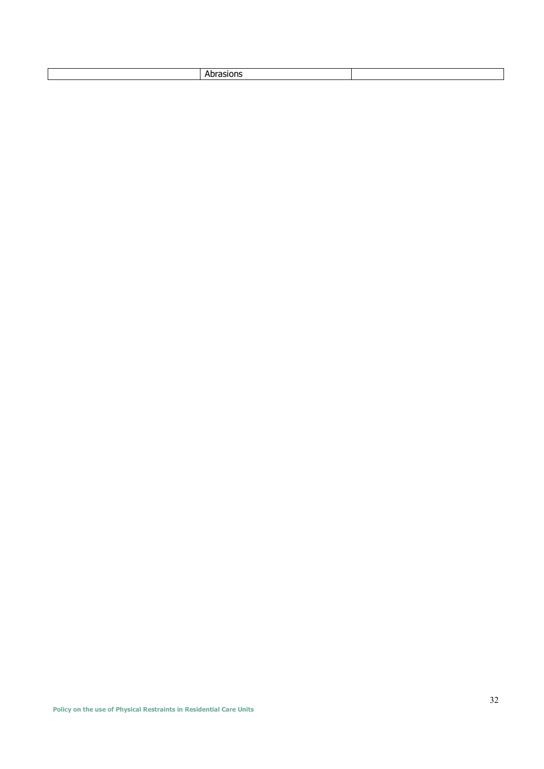|  |  | ____ |  |
|--|--|------|--|
|--|--|------|--|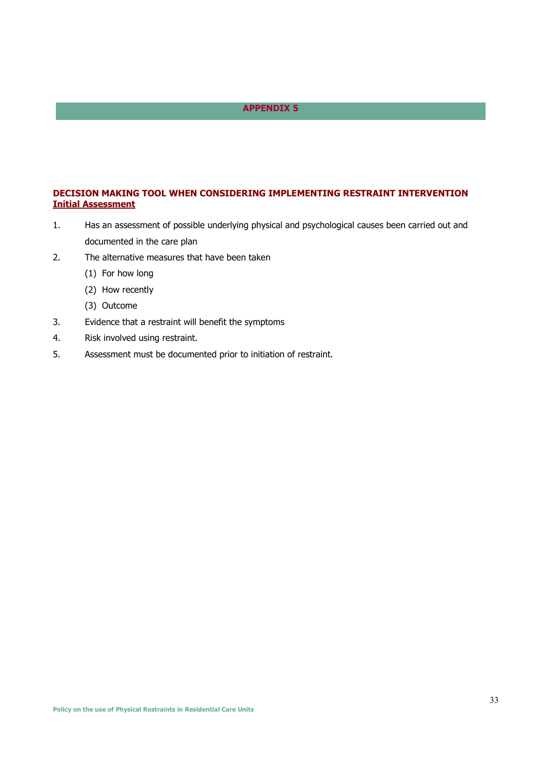## **DECISION MAKING TOOL WHEN CONSIDERING IMPLEMENTING RESTRAINT INTERVENTION Initial Assessment**

- 1. Has an assessment of possible underlying physical and psychological causes been carried out and documented in the care plan
- 2. The alternative measures that have been taken
	- (1) For how long
	- (2) How recently
	- (3) Outcome
- 3. Evidence that a restraint will benefit the symptoms
- 4. Risk involved using restraint.
- 5. Assessment must be documented prior to initiation of restraint.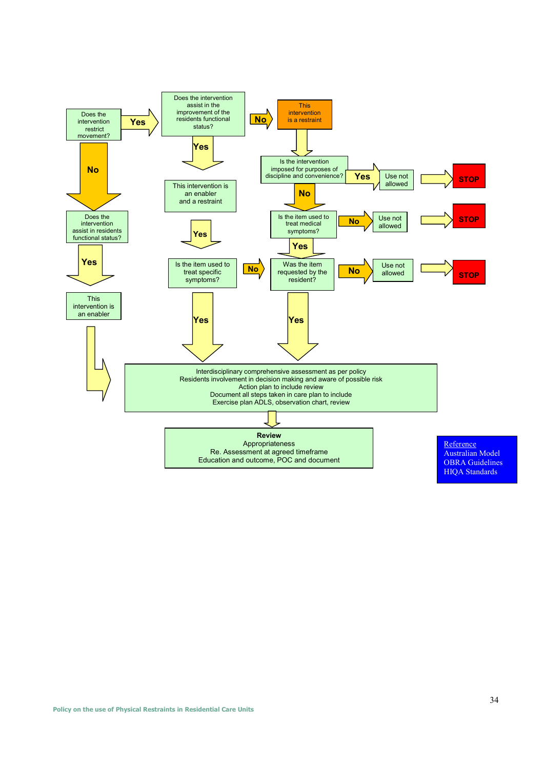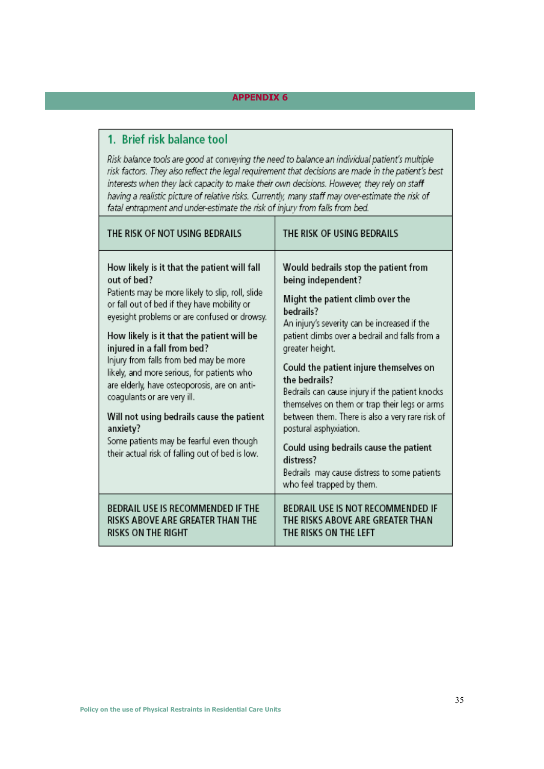# 1. Brief risk balance tool

Risk balance tools are good at conveying the need to balance an individual patient's multiple risk factors. They also reflect the legal requirement that decisions are made in the patient's best interests when they lack capacity to make their own decisions. However, they rely on staff having a realistic picture of relative risks. Currently, many staff may over-estimate the risk of fatal entrapment and under-estimate the risk of injury from falls from bed.

| THE RISK OF NOT USING BEDRAILS                                                                                                                                                                                                                                                                                                                                                                                                                                                                                                                                                                                           | THE RISK OF USING BEDRAILS                                                                                                                                                                                                                                                                                                                                                                                                                                                                                                                                                                                       |
|--------------------------------------------------------------------------------------------------------------------------------------------------------------------------------------------------------------------------------------------------------------------------------------------------------------------------------------------------------------------------------------------------------------------------------------------------------------------------------------------------------------------------------------------------------------------------------------------------------------------------|------------------------------------------------------------------------------------------------------------------------------------------------------------------------------------------------------------------------------------------------------------------------------------------------------------------------------------------------------------------------------------------------------------------------------------------------------------------------------------------------------------------------------------------------------------------------------------------------------------------|
| How likely is it that the patient will fall<br>out of bed?<br>Patients may be more likely to slip, roll, slide<br>or fall out of bed if they have mobility or<br>eyesight problems or are confused or drowsy.<br>How likely is it that the patient will be<br>injured in a fall from bed?<br>Injury from falls from bed may be more<br>likely, and more serious, for patients who<br>are elderly, have osteoporosis, are on anti-<br>coagulants or are very ill.<br>Will not using bedrails cause the patient<br>anxiety?<br>Some patients may be fearful even though<br>their actual risk of falling out of bed is low. | Would bedrails stop the patient from<br>being independent?<br>Might the patient climb over the<br>bedrails?<br>An injury's severity can be increased if the<br>patient climbs over a bedrail and falls from a<br>greater height.<br>Could the patient injure themselves on<br>the bedrails?<br>Bedrails can cause injury if the patient knocks<br>themselves on them or trap their legs or arms<br>between them. There is also a very rare risk of<br>postural asphyxiation.<br>Could using bedrails cause the patient<br>distress?<br>Bedrails may cause distress to some patients<br>who feel trapped by them. |
| <b>BEDRAIL USE IS RECOMMENDED IF THE</b><br>RISKS ABOVE ARE GREATER THAN THE<br><b>RISKS ON THE RIGHT</b>                                                                                                                                                                                                                                                                                                                                                                                                                                                                                                                | <b>BEDRAIL USE IS NOT RECOMMENDED IF</b><br>THE RISKS ABOVE ARE GREATER THAN<br>THE RISKS ON THE LEFT                                                                                                                                                                                                                                                                                                                                                                                                                                                                                                            |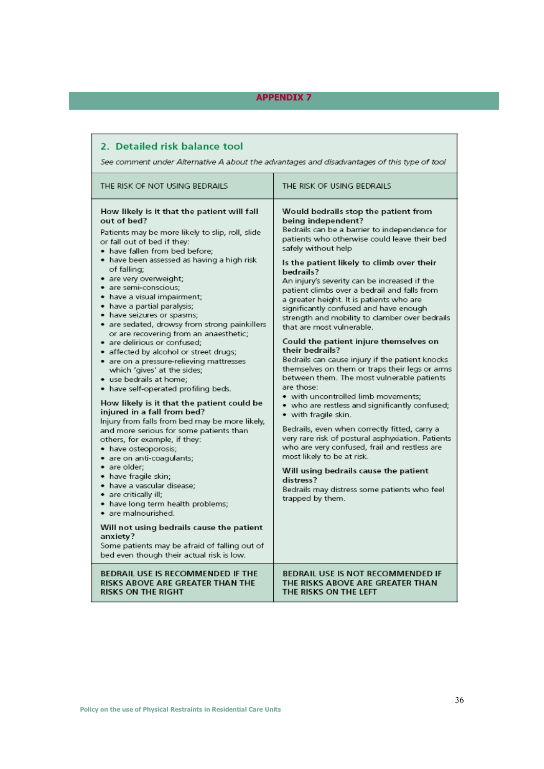| 2. Detailed risk balance tool<br>See comment under Alternative A about the advantages and disadvantages of this type of tool                                                                                                                                                                                                                                                                                                                                                                                                                                                                                                                                                                                                                                                                                                                                                                                                                                                                                                                                                                                                                                                                                                                                                                     |                                                                                                                                                                                                                                                                                                                                                                                                                                                                                                                                                                                                                                                                                                                                                                                                                                                                                                                                                                                                                                                                                                                                                                                           |  |  |  |  |
|--------------------------------------------------------------------------------------------------------------------------------------------------------------------------------------------------------------------------------------------------------------------------------------------------------------------------------------------------------------------------------------------------------------------------------------------------------------------------------------------------------------------------------------------------------------------------------------------------------------------------------------------------------------------------------------------------------------------------------------------------------------------------------------------------------------------------------------------------------------------------------------------------------------------------------------------------------------------------------------------------------------------------------------------------------------------------------------------------------------------------------------------------------------------------------------------------------------------------------------------------------------------------------------------------|-------------------------------------------------------------------------------------------------------------------------------------------------------------------------------------------------------------------------------------------------------------------------------------------------------------------------------------------------------------------------------------------------------------------------------------------------------------------------------------------------------------------------------------------------------------------------------------------------------------------------------------------------------------------------------------------------------------------------------------------------------------------------------------------------------------------------------------------------------------------------------------------------------------------------------------------------------------------------------------------------------------------------------------------------------------------------------------------------------------------------------------------------------------------------------------------|--|--|--|--|
| THE RISK OF NOT USING BEDRAILS                                                                                                                                                                                                                                                                                                                                                                                                                                                                                                                                                                                                                                                                                                                                                                                                                                                                                                                                                                                                                                                                                                                                                                                                                                                                   | THE RISK OF USING BEDRAILS                                                                                                                                                                                                                                                                                                                                                                                                                                                                                                                                                                                                                                                                                                                                                                                                                                                                                                                                                                                                                                                                                                                                                                |  |  |  |  |
| How likely is it that the patient will fall<br>out of bed?<br>Patients may be more likely to slip, roll, slide<br>or fall out of bed if they:<br>• have fallen from bed before;<br>• have been assessed as having a high risk<br>of falling;<br>• are very overweight;<br>· are semi-conscious;<br>• have a visual impairment;<br>• have a partial paralysis;<br>• have seizures or spasms;<br>• are sedated, drowsy from strong painkillers<br>or are recovering from an anaesthetic;<br>• are delirious or confused;<br>• affected by alcohol or street drugs;<br>• are on a pressure-relieving mattresses<br>which 'gives' at the sides;<br>• use bedrails at home;<br>• have self-operated profiling beds.<br>How likely is it that the patient could be<br>injured in a fall from bed?<br>Injury from falls from bed may be more likely,<br>and more serious for some patients than<br>others, for example, if they:<br>• have osteoporosis;<br>· are on anti-coagulants;<br>· are older:<br>• have fragile skin;<br>· have a vascular disease;<br>• are critically ill;<br>• have long term health problems;<br>• are malnourished.<br>Will not using bedrails cause the patient<br>anxiety?<br>Some patients may be afraid of falling out of<br>bed even though their actual risk is low. | Would bedrails stop the patient from<br>being independent?<br>Bedrails can be a barrier to independence for<br>patients who otherwise could leave their bed<br>safely without help<br>Is the patient likely to climb over their<br>bedrails?<br>An injury's severity can be increased if the<br>patient climbs over a bedrail and falls from<br>a greater height. It is patients who are<br>significantly confused and have enough<br>strength and mobility to clamber over bedrails<br>that are most vulnerable.<br>Could the patient injure themselves on<br>their bedrails?<br>Bedrails can cause injury if the patient knocks<br>themselves on them or traps their legs or arms<br>between them. The most vulnerable patients<br>are those:<br>• with uncontrolled limb movements:<br>• who are restless and significantly confused;<br>$\bullet\,$ with fragile skin.<br>Bedrails, even when correctly fitted, carry a<br>very rare risk of postural asphyxiation. Patients<br>who are very confused, frail and restless are<br>most likely to be at risk.<br>Will using bedrails cause the patient<br>distress?<br>Bedrails may distress some patients who feel<br>trapped by them. |  |  |  |  |
| BEDRAIL USE IS RECOMMENDED IF THE<br>RISKS ABOVE ARE GREATER THAN THE<br><b>RISKS ON THE RIGHT</b>                                                                                                                                                                                                                                                                                                                                                                                                                                                                                                                                                                                                                                                                                                                                                                                                                                                                                                                                                                                                                                                                                                                                                                                               | BEDRAIL USE IS NOT RECOMMENDED IF<br>THE RISKS ABOVE ARE GREATER THAN<br>THE RISKS ON THE LEFT                                                                                                                                                                                                                                                                                                                                                                                                                                                                                                                                                                                                                                                                                                                                                                                                                                                                                                                                                                                                                                                                                            |  |  |  |  |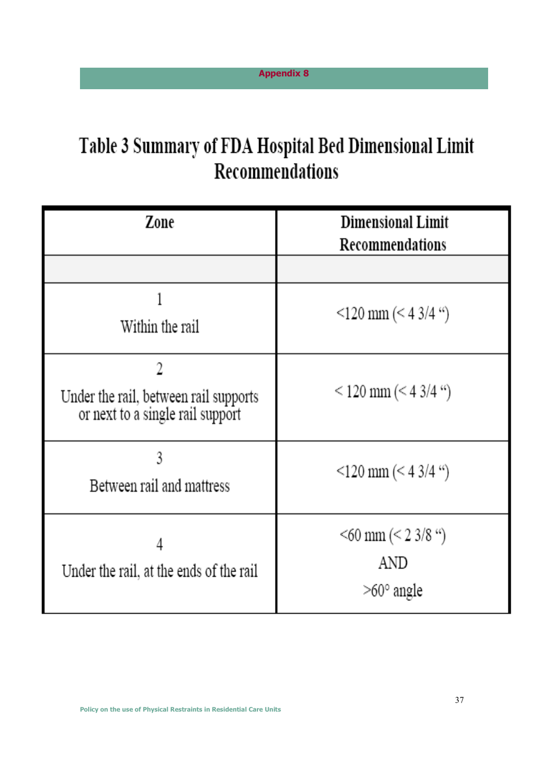# Table 3 Summary of FDA Hospital Bed Dimensional Limit Recommendations

| Zone                                                                           | <b>Dimensional Limit</b><br>Recommendations                |
|--------------------------------------------------------------------------------|------------------------------------------------------------|
|                                                                                |                                                            |
| Within the rail                                                                | $\leq$ 120 mm ( $\leq$ 4 3/4 ")                            |
| 2<br>Under the rail, between rail supports<br>or next to a single rail support | $<$ 120 mm ( $<$ 4 3/4 ")                                  |
| 3<br>Between rail and mattress                                                 | $\leq$ 120 mm ( $\leq$ 4 3/4 ")                            |
| 4<br>Under the rail, at the ends of the rail                                   | $\leq 60$ mm ( $\leq 2$ 3/8 ")<br>AND<br>$>60^\circ$ angle |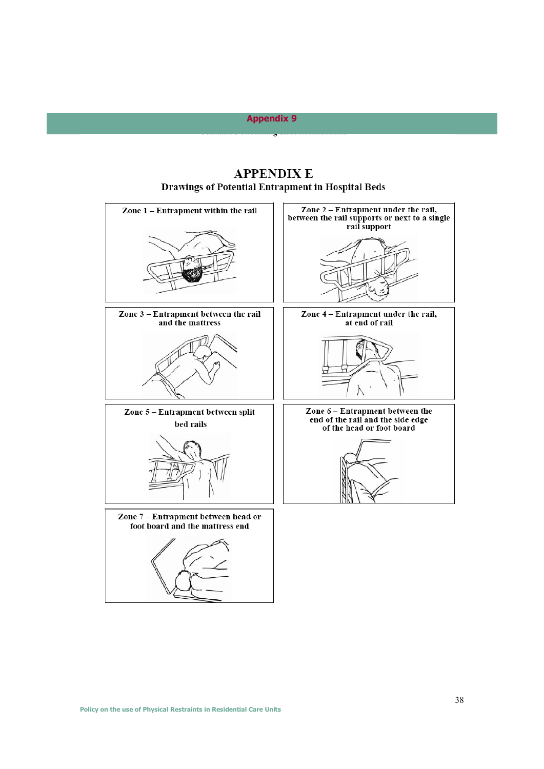# **APPENDIX E Drawings of Potential Entrapment in Hospital Beds**

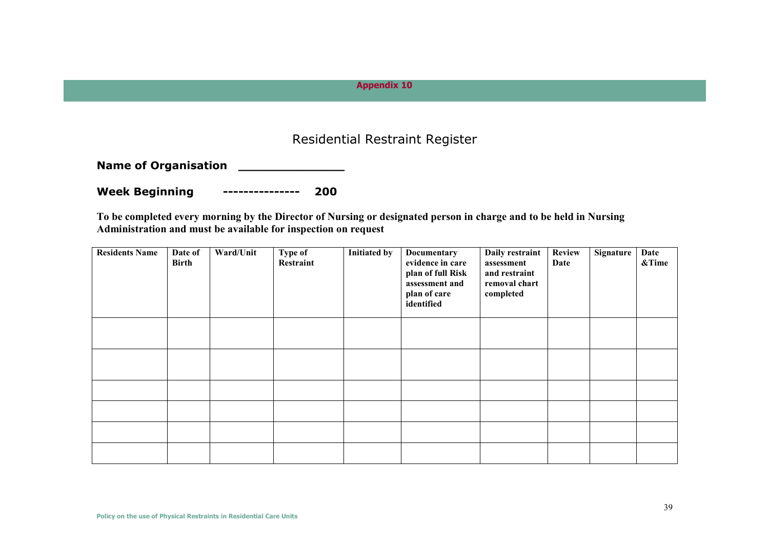# Residential Restraint Register

**Name of Organisation \_\_\_\_\_\_\_\_\_\_\_\_\_\_** 

**Week Beginning --------------- 200** 

**To be completed every morning by the Director of Nursing or designated person in charge and to be held in Nursing Administration and must be available for inspection on request** 

| <b>Residents Name</b> | Date of<br><b>Birth</b> | Ward/Unit | Type of<br>Restraint | <b>Initiated by</b> | Documentary<br>evidence in care<br>plan of full Risk<br>assessment and<br>plan of care<br>identified | Daily restraint<br>assessment<br>and restraint<br>removal chart<br>completed | <b>Review</b><br>Date | Signature | Date<br>&Time |
|-----------------------|-------------------------|-----------|----------------------|---------------------|------------------------------------------------------------------------------------------------------|------------------------------------------------------------------------------|-----------------------|-----------|---------------|
|                       |                         |           |                      |                     |                                                                                                      |                                                                              |                       |           |               |
|                       |                         |           |                      |                     |                                                                                                      |                                                                              |                       |           |               |
|                       |                         |           |                      |                     |                                                                                                      |                                                                              |                       |           |               |
|                       |                         |           |                      |                     |                                                                                                      |                                                                              |                       |           |               |
|                       |                         |           |                      |                     |                                                                                                      |                                                                              |                       |           |               |
|                       |                         |           |                      |                     |                                                                                                      |                                                                              |                       |           |               |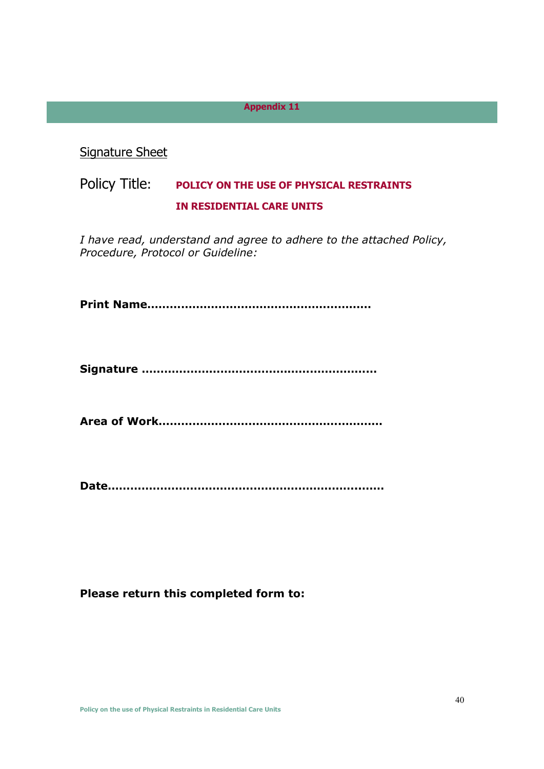Signature Sheet

# Policy Title: **POLICY ON THE USE OF PHYSICAL RESTRAINTS IN RESIDENTIAL CARE UNITS**

*I have read, understand and agree to adhere to the attached Policy, Procedure, Protocol or Guideline:* 

**Print Name……………………………………………………**

**Signature ………………………………………………………**

**Area of Work……………………………………………………**

**Date…………………………………………………………..……**

### **Please return this completed form to:**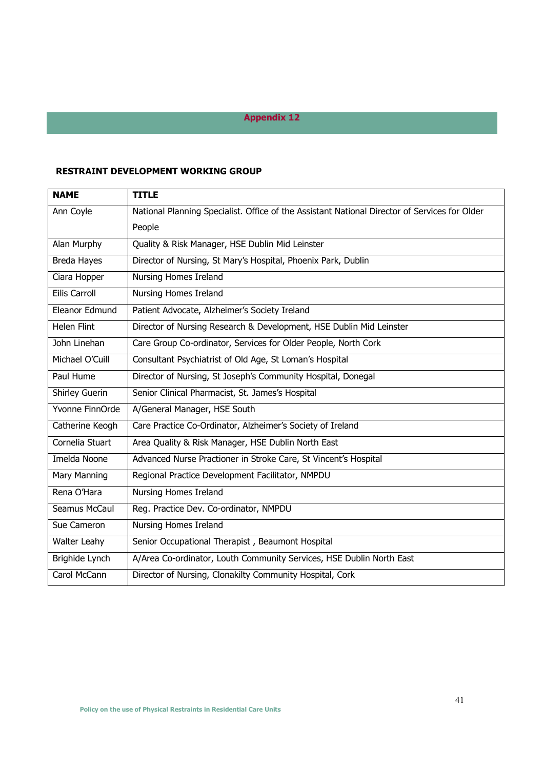# **RESTRAINT DEVELOPMENT WORKING GROUP**

| <b>NAME</b>        | <b>TITLE</b>                                                                                  |
|--------------------|-----------------------------------------------------------------------------------------------|
| Ann Coyle          | National Planning Specialist. Office of the Assistant National Director of Services for Older |
|                    | People                                                                                        |
| Alan Murphy        | Quality & Risk Manager, HSE Dublin Mid Leinster                                               |
| <b>Breda Hayes</b> | Director of Nursing, St Mary's Hospital, Phoenix Park, Dublin                                 |
| Ciara Hopper       | Nursing Homes Ireland                                                                         |
| Eilis Carroll      | Nursing Homes Ireland                                                                         |
| Eleanor Edmund     | Patient Advocate, Alzheimer's Society Ireland                                                 |
| <b>Helen Flint</b> | Director of Nursing Research & Development, HSE Dublin Mid Leinster                           |
| John Linehan       | Care Group Co-ordinator, Services for Older People, North Cork                                |
| Michael O'Cuill    | Consultant Psychiatrist of Old Age, St Loman's Hospital                                       |
| Paul Hume          | Director of Nursing, St Joseph's Community Hospital, Donegal                                  |
| Shirley Guerin     | Senior Clinical Pharmacist, St. James's Hospital                                              |
| Yvonne FinnOrde    | A/General Manager, HSE South                                                                  |
| Catherine Keogh    | Care Practice Co-Ordinator, Alzheimer's Society of Ireland                                    |
| Cornelia Stuart    | Area Quality & Risk Manager, HSE Dublin North East                                            |
| Imelda Noone       | Advanced Nurse Practioner in Stroke Care, St Vincent's Hospital                               |
| Mary Manning       | Regional Practice Development Facilitator, NMPDU                                              |
| Rena O'Hara        | Nursing Homes Ireland                                                                         |
| Seamus McCaul      | Reg. Practice Dev. Co-ordinator, NMPDU                                                        |
| Sue Cameron        | Nursing Homes Ireland                                                                         |
| Walter Leahy       | Senior Occupational Therapist, Beaumont Hospital                                              |
| Brighide Lynch     | A/Area Co-ordinator, Louth Community Services, HSE Dublin North East                          |
| Carol McCann       | Director of Nursing, Clonakilty Community Hospital, Cork                                      |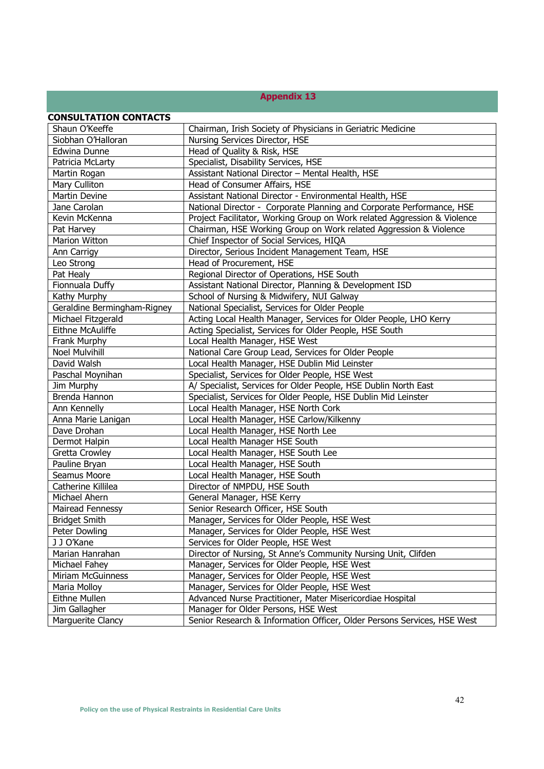| <b>CONSULTATION CONTACTS</b> |                                                                          |
|------------------------------|--------------------------------------------------------------------------|
| Shaun O'Keeffe               | Chairman, Irish Society of Physicians in Geriatric Medicine              |
| Siobhan O'Halloran           | Nursing Services Director, HSE                                           |
| Edwina Dunne                 | Head of Quality & Risk, HSE                                              |
| Patricia McLarty             | Specialist, Disability Services, HSE                                     |
| Martin Rogan                 | Assistant National Director - Mental Health, HSE                         |
| Mary Culliton                | Head of Consumer Affairs, HSE                                            |
| Martin Devine                | Assistant National Director - Environmental Health, HSE                  |
| Jane Carolan                 | National Director - Corporate Planning and Corporate Performance, HSE    |
| Kevin McKenna                | Project Facilitator, Working Group on Work related Aggression & Violence |
| Pat Harvey                   | Chairman, HSE Working Group on Work related Aggression & Violence        |
| Marion Witton                | Chief Inspector of Social Services, HIQA                                 |
| Ann Carrigy                  | Director, Serious Incident Management Team, HSE                          |
| Leo Strong                   | Head of Procurement, HSE                                                 |
| Pat Healy                    | Regional Director of Operations, HSE South                               |
| Fionnuala Duffy              | Assistant National Director, Planning & Development ISD                  |
| Kathy Murphy                 | School of Nursing & Midwifery, NUI Galway                                |
| Geraldine Bermingham-Rigney  | National Specialist, Services for Older People                           |
| Michael Fitzgerald           | Acting Local Health Manager, Services for Older People, LHO Kerry        |
| Eithne McAuliffe             | Acting Specialist, Services for Older People, HSE South                  |
| Frank Murphy                 | Local Health Manager, HSE West                                           |
| <b>Noel Mulvihill</b>        | National Care Group Lead, Services for Older People                      |
| David Walsh                  | Local Health Manager, HSE Dublin Mid Leinster                            |
| Paschal Moynihan             | Specialist, Services for Older People, HSE West                          |
| Jim Murphy                   | A/ Specialist, Services for Older People, HSE Dublin North East          |
| Brenda Hannon                | Specialist, Services for Older People, HSE Dublin Mid Leinster           |
| Ann Kennelly                 | Local Health Manager, HSE North Cork                                     |
| Anna Marie Lanigan           | Local Health Manager, HSE Carlow/Kilkenny                                |
| Dave Drohan                  | Local Health Manager, HSE North Lee                                      |
| Dermot Halpin                | Local Health Manager HSE South                                           |
| Gretta Crowley               | Local Health Manager, HSE South Lee                                      |
| Pauline Bryan                | Local Health Manager, HSE South                                          |
| Seamus Moore                 | Local Health Manager, HSE South                                          |
| Catherine Killilea           | Director of NMPDU, HSE South                                             |
| Michael Ahern                | General Manager, HSE Kerry                                               |
| <b>Mairead Fennessy</b>      | Senior Research Officer, HSE South                                       |
| <b>Bridget Smith</b>         | Manager, Services for Older People, HSE West                             |
| Peter Dowling                | Manager, Services for Older People, HSE West                             |
| J J O'Kane                   | Services for Older People, HSE West                                      |
| Marian Hanrahan              | Director of Nursing, St Anne's Community Nursing Unit, Clifden           |
| Michael Fahey                | Manager, Services for Older People, HSE West                             |
| Miriam McGuinness            | Manager, Services for Older People, HSE West                             |
| Maria Molloy                 | Manager, Services for Older People, HSE West                             |
| Eithne Mullen                | Advanced Nurse Practitioner, Mater Misericordiae Hospital                |
| Jim Gallagher                | Manager for Older Persons, HSE West                                      |
| Marguerite Clancy            | Senior Research & Information Officer, Older Persons Services, HSE West  |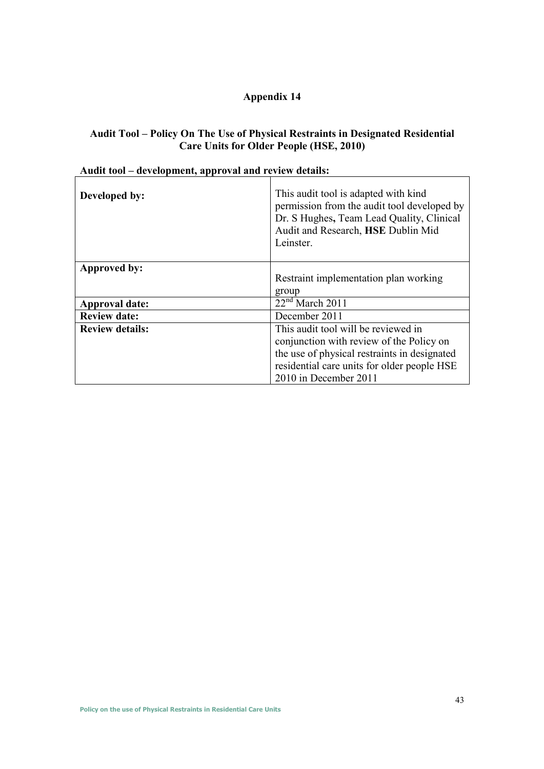# **Audit Tool – Policy On The Use of Physical Restraints in Designated Residential Care Units for Older People (HSE, 2010)**

| Developed by:          | This audit tool is adapted with kind<br>permission from the audit tool developed by<br>Dr. S Hughes, Team Lead Quality, Clinical<br>Audit and Research, HSE Dublin Mid<br>Leinster. |
|------------------------|-------------------------------------------------------------------------------------------------------------------------------------------------------------------------------------|
| Approved by:           | Restraint implementation plan working                                                                                                                                               |
|                        | group                                                                                                                                                                               |
| <b>Approval date:</b>  | $22nd$ March 2011                                                                                                                                                                   |
| <b>Review date:</b>    | December 2011                                                                                                                                                                       |
| <b>Review details:</b> | This audit tool will be reviewed in                                                                                                                                                 |
|                        | conjunction with review of the Policy on                                                                                                                                            |
|                        | the use of physical restraints in designated                                                                                                                                        |
|                        | residential care units for older people HSE                                                                                                                                         |
|                        | 2010 in December 2011                                                                                                                                                               |

# **Audit tool – development, approval and review details:**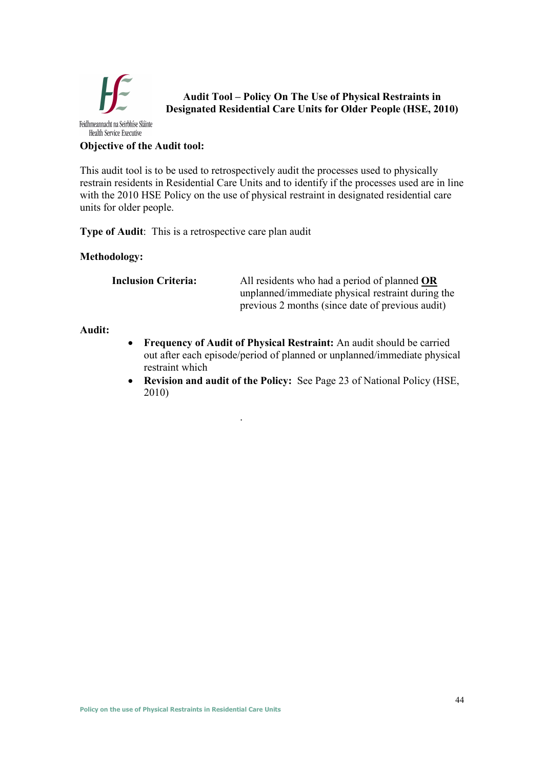

**Audit Tool – Policy On The Use of Physical Restraints in Designated Residential Care Units for Older People (HSE, 2010)** 

**Objective of the Audit tool:** 

This audit tool is to be used to retrospectively audit the processes used to physically restrain residents in Residential Care Units and to identify if the processes used are in line with the 2010 HSE Policy on the use of physical restraint in designated residential care units for older people.

**Type of Audit**: This is a retrospective care plan audit

# **Methodology:**

**Inclusion Criteria:** All residents who had a period of planned **OR** unplanned/immediate physical restraint during the previous 2 months (since date of previous audit)

# **Audit:**

- **Frequency of Audit of Physical Restraint:** An audit should be carried out after each episode/period of planned or unplanned/immediate physical restraint which
- **Revision and audit of the Policy:** See Page 23 of National Policy (HSE, 2010)

.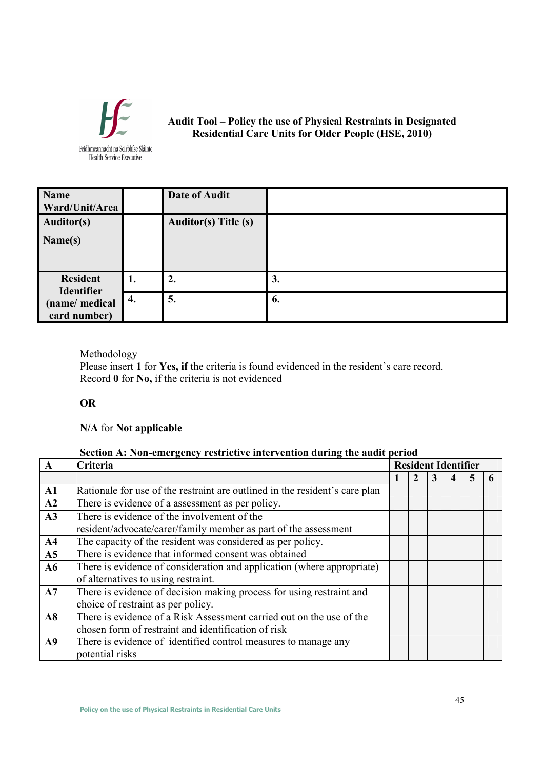

**Audit Tool – Policy the use of Physical Restraints in Designated Residential Care Units for Older People (HSE, 2010)**

Feidhmeannacht na Seirbhíse Sláinte **Health Service Executive** 

| <b>Name</b><br>Ward/Unit/Area                       |    | <b>Date of Audit</b>        |    |
|-----------------------------------------------------|----|-----------------------------|----|
| <b>Auditor(s)</b>                                   |    | <b>Auditor(s)</b> Title (s) |    |
| Name(s)                                             |    |                             |    |
|                                                     |    |                             |    |
| <b>Resident</b>                                     | 1. | 2.                          | 3. |
| <b>Identifier</b><br>(name/ medical<br>card number) | 4. | 5.                          | 6. |

# Methodology

Please insert 1 for Yes, if the criteria is found evidenced in the resident's care record. Record **0** for **No,** if the criteria is not evidenced

# **OR**

# **N/A** for **Not applicable**

# **Section A: Non-emergency restrictive intervention during the audit period**

| A              | Criteria                                                                    |  | <b>Resident Identifier</b> |   |  |  |   |  |  |  |
|----------------|-----------------------------------------------------------------------------|--|----------------------------|---|--|--|---|--|--|--|
|                |                                                                             |  |                            | 3 |  |  | 6 |  |  |  |
| $\mathbf{A1}$  | Rationale for use of the restraint are outlined in the resident's care plan |  |                            |   |  |  |   |  |  |  |
| A2             | There is evidence of a assessment as per policy.                            |  |                            |   |  |  |   |  |  |  |
| A3             | There is evidence of the involvement of the                                 |  |                            |   |  |  |   |  |  |  |
|                | resident/advocate/carer/family member as part of the assessment             |  |                            |   |  |  |   |  |  |  |
| A <sub>4</sub> | The capacity of the resident was considered as per policy.                  |  |                            |   |  |  |   |  |  |  |
| A <sub>5</sub> | There is evidence that informed consent was obtained                        |  |                            |   |  |  |   |  |  |  |
| A6             | There is evidence of consideration and application (where appropriate)      |  |                            |   |  |  |   |  |  |  |
|                | of alternatives to using restraint.                                         |  |                            |   |  |  |   |  |  |  |
| A7             | There is evidence of decision making process for using restraint and        |  |                            |   |  |  |   |  |  |  |
|                | choice of restraint as per policy.                                          |  |                            |   |  |  |   |  |  |  |
| A8             | There is evidence of a Risk Assessment carried out on the use of the        |  |                            |   |  |  |   |  |  |  |
|                | chosen form of restraint and identification of risk                         |  |                            |   |  |  |   |  |  |  |
| A9             | There is evidence of identified control measures to manage any              |  |                            |   |  |  |   |  |  |  |
|                | potential risks                                                             |  |                            |   |  |  |   |  |  |  |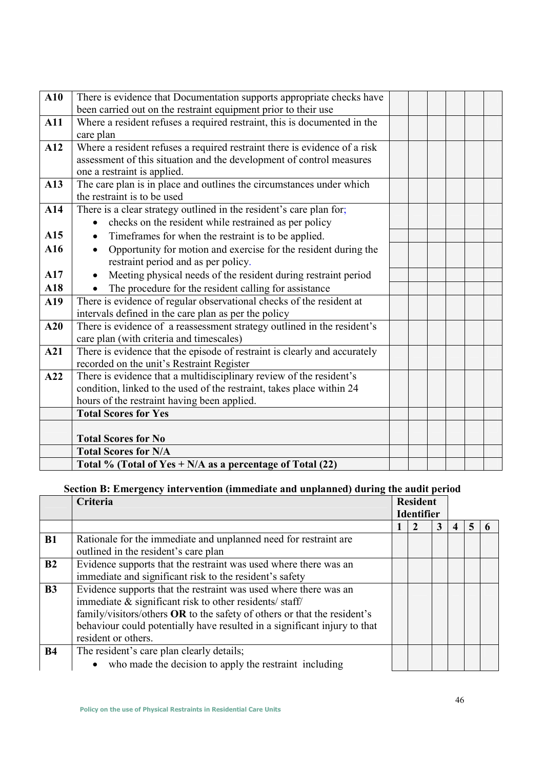| A10        | There is evidence that Documentation supports appropriate checks have        |  |  |  |
|------------|------------------------------------------------------------------------------|--|--|--|
|            | been carried out on the restraint equipment prior to their use               |  |  |  |
| <b>A11</b> | Where a resident refuses a required restraint, this is documented in the     |  |  |  |
|            | care plan                                                                    |  |  |  |
| A12        | Where a resident refuses a required restraint there is evidence of a risk    |  |  |  |
|            | assessment of this situation and the development of control measures         |  |  |  |
|            | one a restraint is applied.                                                  |  |  |  |
| A13        | The care plan is in place and outlines the circumstances under which         |  |  |  |
|            | the restraint is to be used                                                  |  |  |  |
| A14        | There is a clear strategy outlined in the resident's care plan for;          |  |  |  |
|            | checks on the resident while restrained as per policy                        |  |  |  |
| A15        | Timeframes for when the restraint is to be applied.                          |  |  |  |
| A16        | Opportunity for motion and exercise for the resident during the<br>$\bullet$ |  |  |  |
|            | restraint period and as per policy.                                          |  |  |  |
| A17        | Meeting physical needs of the resident during restraint period<br>$\bullet$  |  |  |  |
| A18        | The procedure for the resident calling for assistance                        |  |  |  |
| A19        | There is evidence of regular observational checks of the resident at         |  |  |  |
|            | intervals defined in the care plan as per the policy                         |  |  |  |
| A20        | There is evidence of a reassessment strategy outlined in the resident's      |  |  |  |
|            | care plan (with criteria and timescales)                                     |  |  |  |
| A21        | There is evidence that the episode of restraint is clearly and accurately    |  |  |  |
|            | recorded on the unit's Restraint Register                                    |  |  |  |
| A22        | There is evidence that a multidisciplinary review of the resident's          |  |  |  |
|            | condition, linked to the used of the restraint, takes place within 24        |  |  |  |
|            | hours of the restraint having been applied.                                  |  |  |  |
|            | <b>Total Scores for Yes</b>                                                  |  |  |  |
|            |                                                                              |  |  |  |
|            | <b>Total Scores for No</b>                                                   |  |  |  |
|            | <b>Total Scores for N/A</b>                                                  |  |  |  |
|            | Total % (Total of Yes $+ N/A$ as a percentage of Total (22)                  |  |  |  |

# **Section B: Emergency intervention (immediate and unplanned) during the audit period**

|                | Criteria                                                                                                                                                                                                                                                                                                       | <b>Resident</b><br><b>Identifier</b> |  |  |
|----------------|----------------------------------------------------------------------------------------------------------------------------------------------------------------------------------------------------------------------------------------------------------------------------------------------------------------|--------------------------------------|--|--|
|                |                                                                                                                                                                                                                                                                                                                |                                      |  |  |
| B1             | Rationale for the immediate and unplanned need for restraint are.<br>outlined in the resident's care plan                                                                                                                                                                                                      |                                      |  |  |
| B2             | Evidence supports that the restraint was used where there was an<br>immediate and significant risk to the resident's safety                                                                                                                                                                                    |                                      |  |  |
| B <sub>3</sub> | Evidence supports that the restraint was used where there was an<br>immediate $\&$ significant risk to other residents/ staff/<br>family/visitors/others OR to the safety of others or that the resident's<br>behaviour could potentially have resulted in a significant injury to that<br>resident or others. |                                      |  |  |
| <b>B4</b>      | The resident's care plan clearly details;<br>who made the decision to apply the restraint including                                                                                                                                                                                                            |                                      |  |  |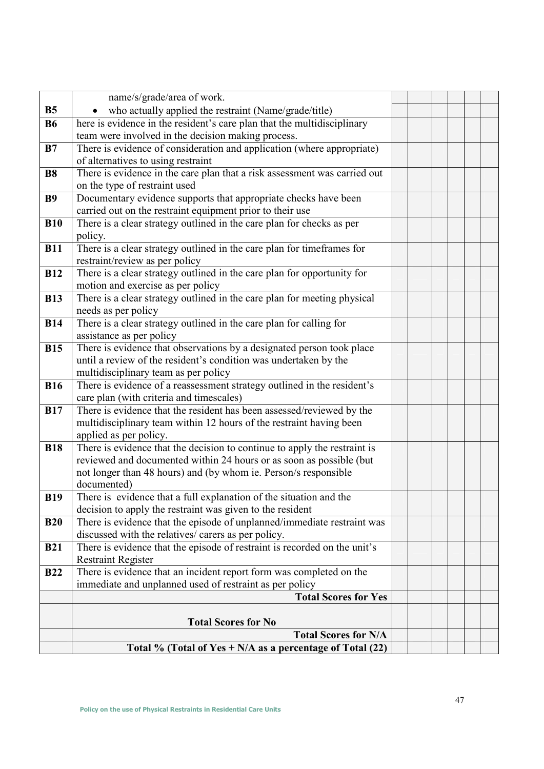|            | name/s/grade/area of work.                                                                                      |  |  |  |
|------------|-----------------------------------------------------------------------------------------------------------------|--|--|--|
| <b>B5</b>  | who actually applied the restraint (Name/grade/title)                                                           |  |  |  |
| <b>B6</b>  | here is evidence in the resident's care plan that the multidisciplinary                                         |  |  |  |
|            | team were involved in the decision making process.                                                              |  |  |  |
| B7         | There is evidence of consideration and application (where appropriate)                                          |  |  |  |
|            | of alternatives to using restraint                                                                              |  |  |  |
| <b>B8</b>  | There is evidence in the care plan that a risk assessment was carried out                                       |  |  |  |
|            | on the type of restraint used                                                                                   |  |  |  |
| <b>B9</b>  | Documentary evidence supports that appropriate checks have been                                                 |  |  |  |
|            | carried out on the restraint equipment prior to their use                                                       |  |  |  |
| <b>B10</b> | There is a clear strategy outlined in the care plan for checks as per                                           |  |  |  |
|            | policy.                                                                                                         |  |  |  |
| <b>B11</b> | There is a clear strategy outlined in the care plan for timeframes for                                          |  |  |  |
|            | restraint/review as per policy                                                                                  |  |  |  |
| <b>B12</b> | There is a clear strategy outlined in the care plan for opportunity for                                         |  |  |  |
|            | motion and exercise as per policy                                                                               |  |  |  |
| <b>B13</b> | There is a clear strategy outlined in the care plan for meeting physical                                        |  |  |  |
|            | needs as per policy                                                                                             |  |  |  |
| <b>B14</b> | There is a clear strategy outlined in the care plan for calling for                                             |  |  |  |
|            | assistance as per policy                                                                                        |  |  |  |
| <b>B15</b> | There is evidence that observations by a designated person took place                                           |  |  |  |
|            | until a review of the resident's condition was undertaken by the                                                |  |  |  |
| <b>B16</b> | multidisciplinary team as per policy<br>There is evidence of a reassessment strategy outlined in the resident's |  |  |  |
|            | care plan (with criteria and timescales)                                                                        |  |  |  |
| <b>B17</b> | There is evidence that the resident has been assessed/reviewed by the                                           |  |  |  |
|            | multidisciplinary team within 12 hours of the restraint having been                                             |  |  |  |
|            | applied as per policy.                                                                                          |  |  |  |
| <b>B18</b> | There is evidence that the decision to continue to apply the restraint is                                       |  |  |  |
|            | reviewed and documented within 24 hours or as soon as possible (but                                             |  |  |  |
|            | not longer than 48 hours) and (by whom ie. Person/s responsible                                                 |  |  |  |
|            | documented)                                                                                                     |  |  |  |
| <b>B19</b> | There is evidence that a full explanation of the situation and the                                              |  |  |  |
|            | decision to apply the restraint was given to the resident                                                       |  |  |  |
| <b>B20</b> | There is evidence that the episode of unplanned/immediate restraint was                                         |  |  |  |
|            | discussed with the relatives/ carers as per policy.                                                             |  |  |  |
| <b>B21</b> | There is evidence that the episode of restraint is recorded on the unit's                                       |  |  |  |
|            | <b>Restraint Register</b>                                                                                       |  |  |  |
| <b>B22</b> | There is evidence that an incident report form was completed on the                                             |  |  |  |
|            | immediate and unplanned used of restraint as per policy                                                         |  |  |  |
|            | <b>Total Scores for Yes</b>                                                                                     |  |  |  |
|            |                                                                                                                 |  |  |  |
|            | <b>Total Scores for No</b><br><b>Total Scores for N/A</b>                                                       |  |  |  |
|            |                                                                                                                 |  |  |  |
|            | Total % (Total of Yes $+ N/A$ as a percentage of Total (22)                                                     |  |  |  |